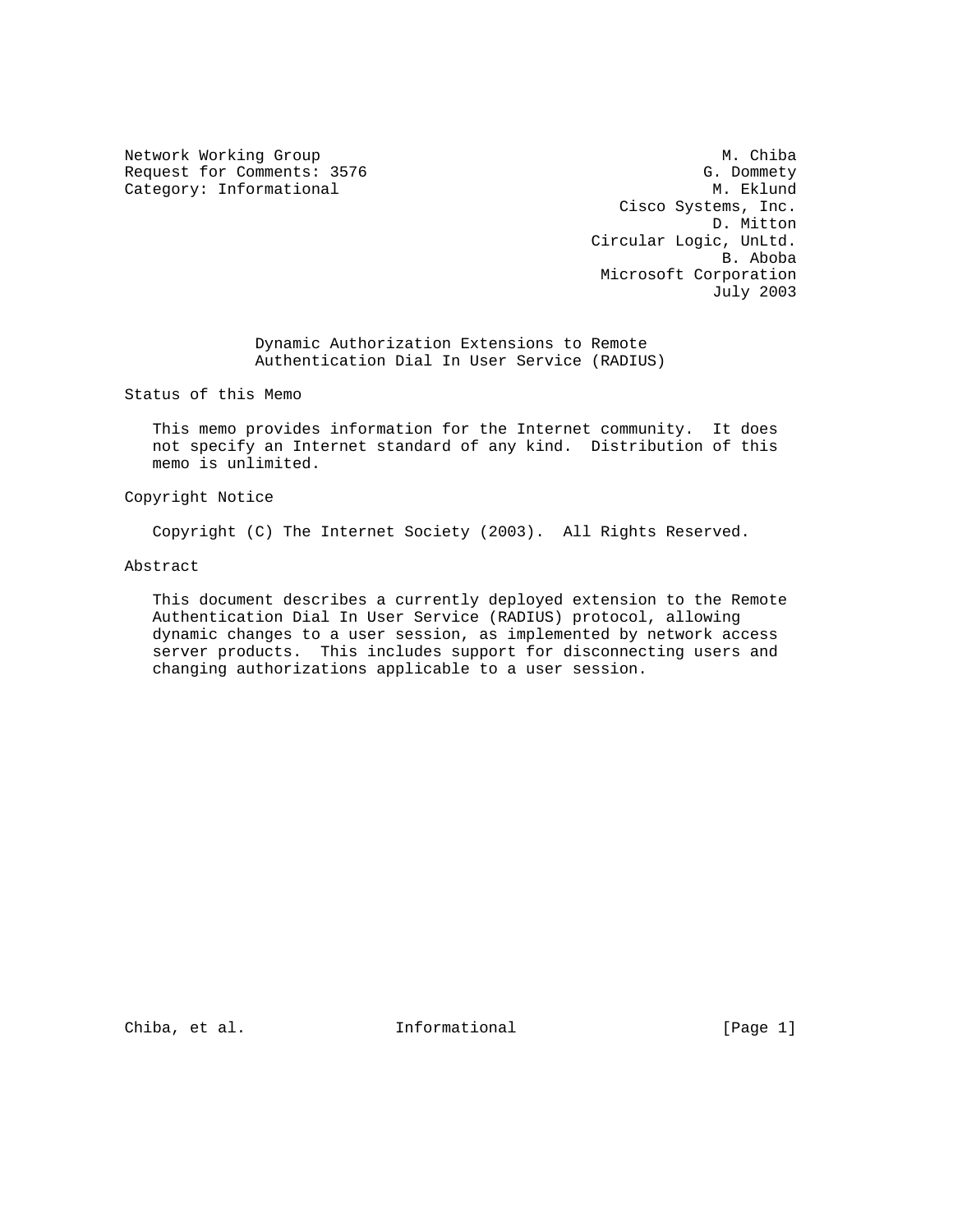Network Working Group Methods and Muslim Muslim Muslim Muslim Muslim Muslim Muslim Muslim Muslim Muslim Muslim Request for Comments: 3576 G. Dommety Category: Informational G. Dommety Category: Informational

 Cisco Systems, Inc. D. Mitton Circular Logic, UnLtd. B. Aboba Microsoft Corporation July 2003

 Dynamic Authorization Extensions to Remote Authentication Dial In User Service (RADIUS)

Status of this Memo

 This memo provides information for the Internet community. It does not specify an Internet standard of any kind. Distribution of this memo is unlimited.

Copyright Notice

Copyright (C) The Internet Society (2003). All Rights Reserved.

Abstract

 This document describes a currently deployed extension to the Remote Authentication Dial In User Service (RADIUS) protocol, allowing dynamic changes to a user session, as implemented by network access server products. This includes support for disconnecting users and changing authorizations applicable to a user session.

Chiba, et al.  $I_n$  Informational [Page 1]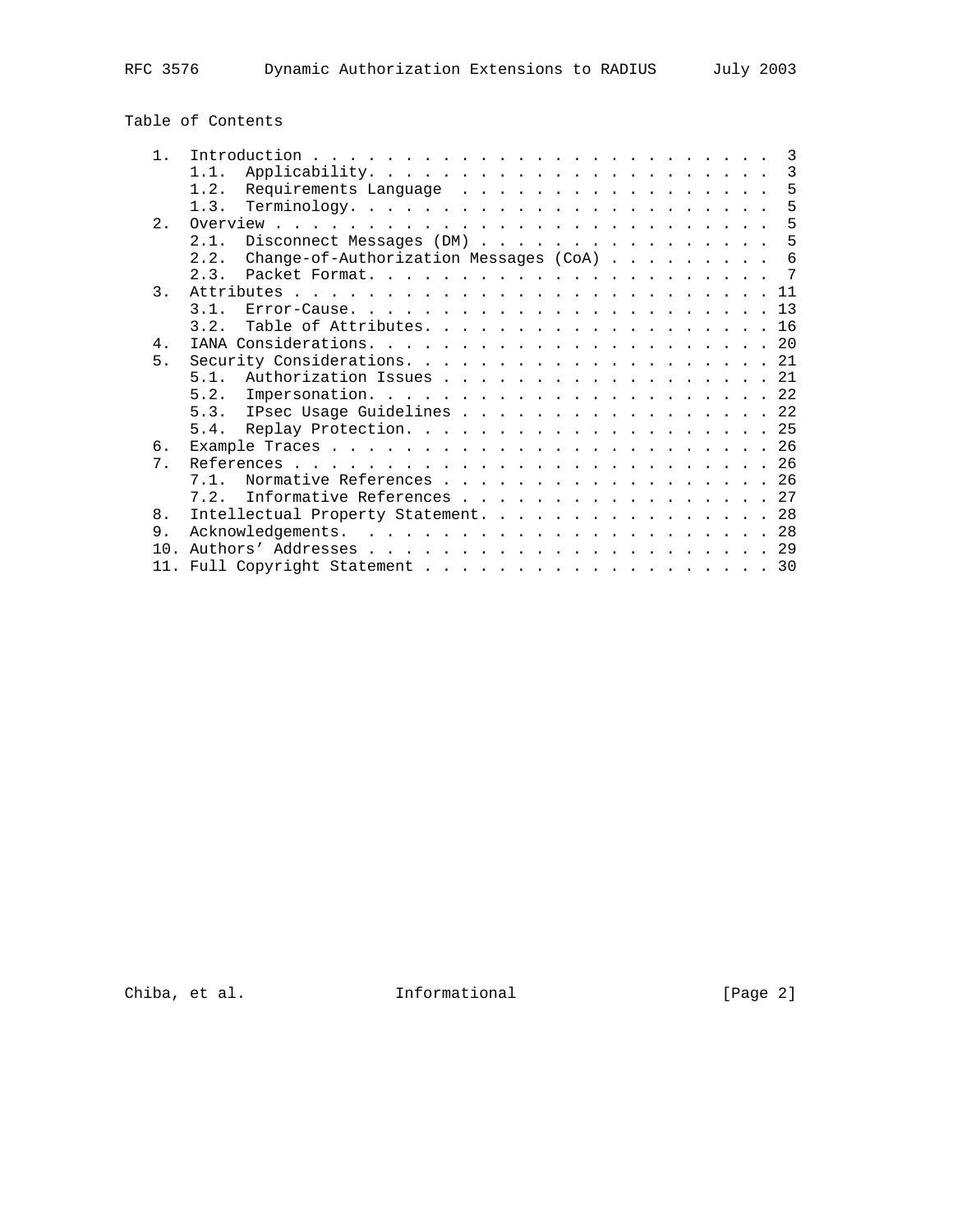# Table of Contents

| $\mathbf{1}$   | $\overline{3}$                                   |
|----------------|--------------------------------------------------|
|                | 1.1.<br>3                                        |
|                | Requirements Language 5<br>1.2.                  |
|                | 5<br>1.3.                                        |
| $2^{\circ}$    |                                                  |
|                | Disconnect Messages (DM)<br>- 5<br>2.1.          |
|                | Change-of-Authorization Messages (CoA) 6<br>2.2. |
|                | 7<br>2.3.                                        |
| $\mathcal{E}$  |                                                  |
|                | 3.1.                                             |
|                | Table of Attributes. 16<br>3.2.                  |
| $4$ .          |                                                  |
| 5 <sub>1</sub> |                                                  |
|                | 5.1.<br>Authorization Issues 21                  |
|                |                                                  |
|                | 5.3. IPsec Usage Guidelines 22                   |
|                |                                                  |
| 6.             |                                                  |
| 7 <sub>1</sub> |                                                  |
|                | Normative References 26<br>7.1.                  |
|                | Informative References 27<br>7.2.                |
| 8.             | Intellectual Property Statement. 28              |
| 9.             |                                                  |
| 1 N            |                                                  |
|                | 11. Full Copyright Statement 30                  |
|                |                                                  |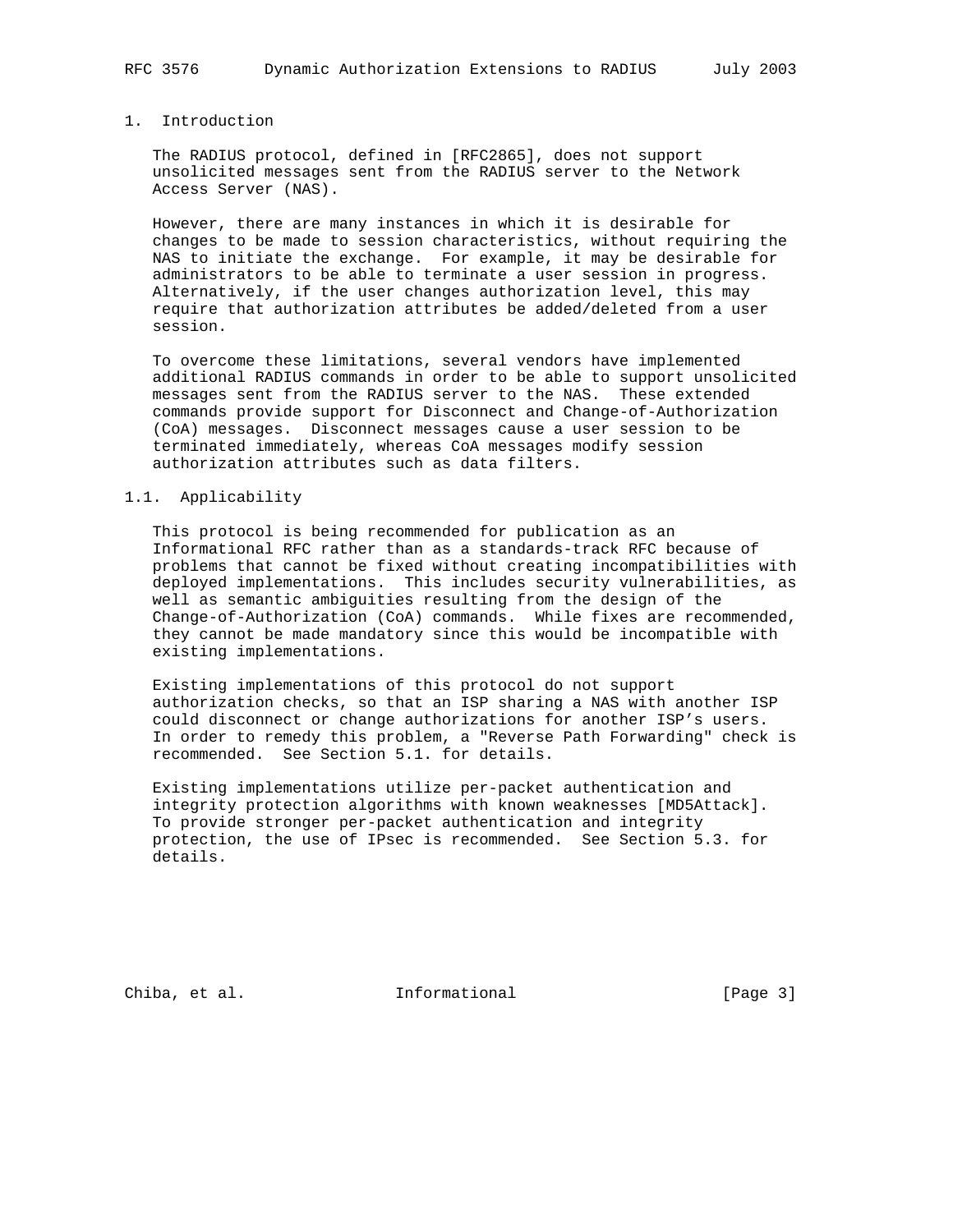### 1. Introduction

 The RADIUS protocol, defined in [RFC2865], does not support unsolicited messages sent from the RADIUS server to the Network Access Server (NAS).

 However, there are many instances in which it is desirable for changes to be made to session characteristics, without requiring the NAS to initiate the exchange. For example, it may be desirable for administrators to be able to terminate a user session in progress. Alternatively, if the user changes authorization level, this may require that authorization attributes be added/deleted from a user session.

 To overcome these limitations, several vendors have implemented additional RADIUS commands in order to be able to support unsolicited messages sent from the RADIUS server to the NAS. These extended commands provide support for Disconnect and Change-of-Authorization (CoA) messages. Disconnect messages cause a user session to be terminated immediately, whereas CoA messages modify session authorization attributes such as data filters.

#### 1.1. Applicability

 This protocol is being recommended for publication as an Informational RFC rather than as a standards-track RFC because of problems that cannot be fixed without creating incompatibilities with deployed implementations. This includes security vulnerabilities, as well as semantic ambiguities resulting from the design of the Change-of-Authorization (CoA) commands. While fixes are recommended, they cannot be made mandatory since this would be incompatible with existing implementations.

 Existing implementations of this protocol do not support authorization checks, so that an ISP sharing a NAS with another ISP could disconnect or change authorizations for another ISP's users. In order to remedy this problem, a "Reverse Path Forwarding" check is recommended. See Section 5.1. for details.

 Existing implementations utilize per-packet authentication and integrity protection algorithms with known weaknesses [MD5Attack]. To provide stronger per-packet authentication and integrity protection, the use of IPsec is recommended. See Section 5.3. for details.

Chiba, et al. 1nformational 1999 [Page 3]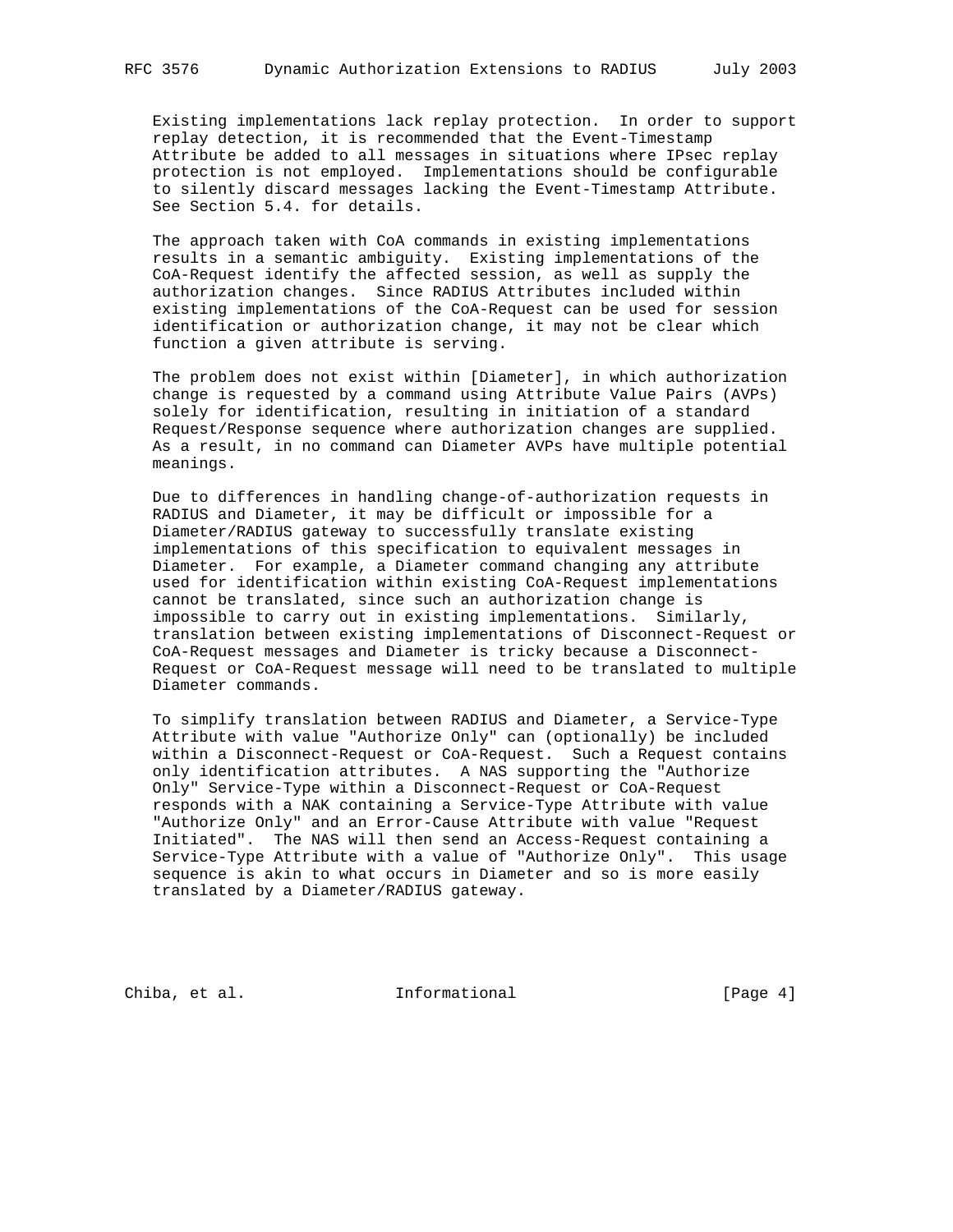Existing implementations lack replay protection. In order to support replay detection, it is recommended that the Event-Timestamp Attribute be added to all messages in situations where IPsec replay protection is not employed. Implementations should be configurable to silently discard messages lacking the Event-Timestamp Attribute. See Section 5.4. for details.

 The approach taken with CoA commands in existing implementations results in a semantic ambiguity. Existing implementations of the CoA-Request identify the affected session, as well as supply the authorization changes. Since RADIUS Attributes included within existing implementations of the CoA-Request can be used for session identification or authorization change, it may not be clear which function a given attribute is serving.

 The problem does not exist within [Diameter], in which authorization change is requested by a command using Attribute Value Pairs (AVPs) solely for identification, resulting in initiation of a standard Request/Response sequence where authorization changes are supplied. As a result, in no command can Diameter AVPs have multiple potential meanings.

 Due to differences in handling change-of-authorization requests in RADIUS and Diameter, it may be difficult or impossible for a Diameter/RADIUS gateway to successfully translate existing implementations of this specification to equivalent messages in Diameter. For example, a Diameter command changing any attribute used for identification within existing CoA-Request implementations cannot be translated, since such an authorization change is impossible to carry out in existing implementations. Similarly, translation between existing implementations of Disconnect-Request or CoA-Request messages and Diameter is tricky because a Disconnect- Request or CoA-Request message will need to be translated to multiple Diameter commands.

 To simplify translation between RADIUS and Diameter, a Service-Type Attribute with value "Authorize Only" can (optionally) be included within a Disconnect-Request or CoA-Request. Such a Request contains only identification attributes. A NAS supporting the "Authorize Only" Service-Type within a Disconnect-Request or CoA-Request responds with a NAK containing a Service-Type Attribute with value "Authorize Only" and an Error-Cause Attribute with value "Request Initiated". The NAS will then send an Access-Request containing a Service-Type Attribute with a value of "Authorize Only". This usage sequence is akin to what occurs in Diameter and so is more easily translated by a Diameter/RADIUS gateway.

Chiba, et al. 1nformational [Page 4]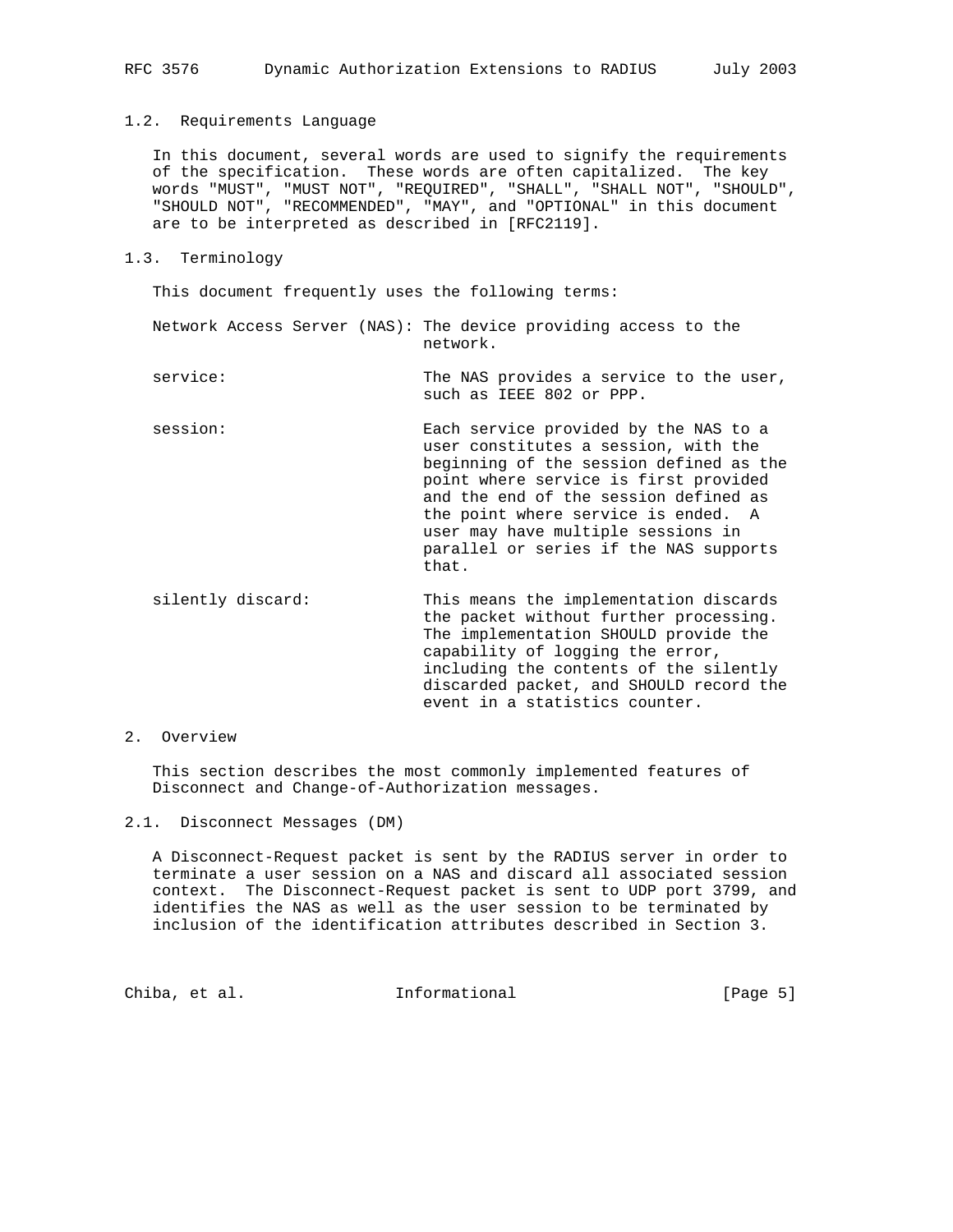### 1.2. Requirements Language

 In this document, several words are used to signify the requirements of the specification. These words are often capitalized. The key words "MUST", "MUST NOT", "REQUIRED", "SHALL", "SHALL NOT", "SHOULD", "SHOULD NOT", "RECOMMENDED", "MAY", and "OPTIONAL" in this document are to be interpreted as described in [RFC2119].

1.3. Terminology

This document frequently uses the following terms:

 Network Access Server (NAS): The device providing access to the network.

- service: The NAS provides a service to the user, such as IEEE 802 or PPP.
- session: Each service provided by the NAS to a user constitutes a session, with the beginning of the session defined as the point where service is first provided and the end of the session defined as the point where service is ended. A user may have multiple sessions in parallel or series if the NAS supports that.
- silently discard: This means the implementation discards the packet without further processing. The implementation SHOULD provide the capability of logging the error, including the contents of the silently discarded packet, and SHOULD record the event in a statistics counter.

# 2. Overview

 This section describes the most commonly implemented features of Disconnect and Change-of-Authorization messages.

2.1. Disconnect Messages (DM)

 A Disconnect-Request packet is sent by the RADIUS server in order to terminate a user session on a NAS and discard all associated session context. The Disconnect-Request packet is sent to UDP port 3799, and identifies the NAS as well as the user session to be terminated by inclusion of the identification attributes described in Section 3.

Chiba, et al. **Informational** [Page 5]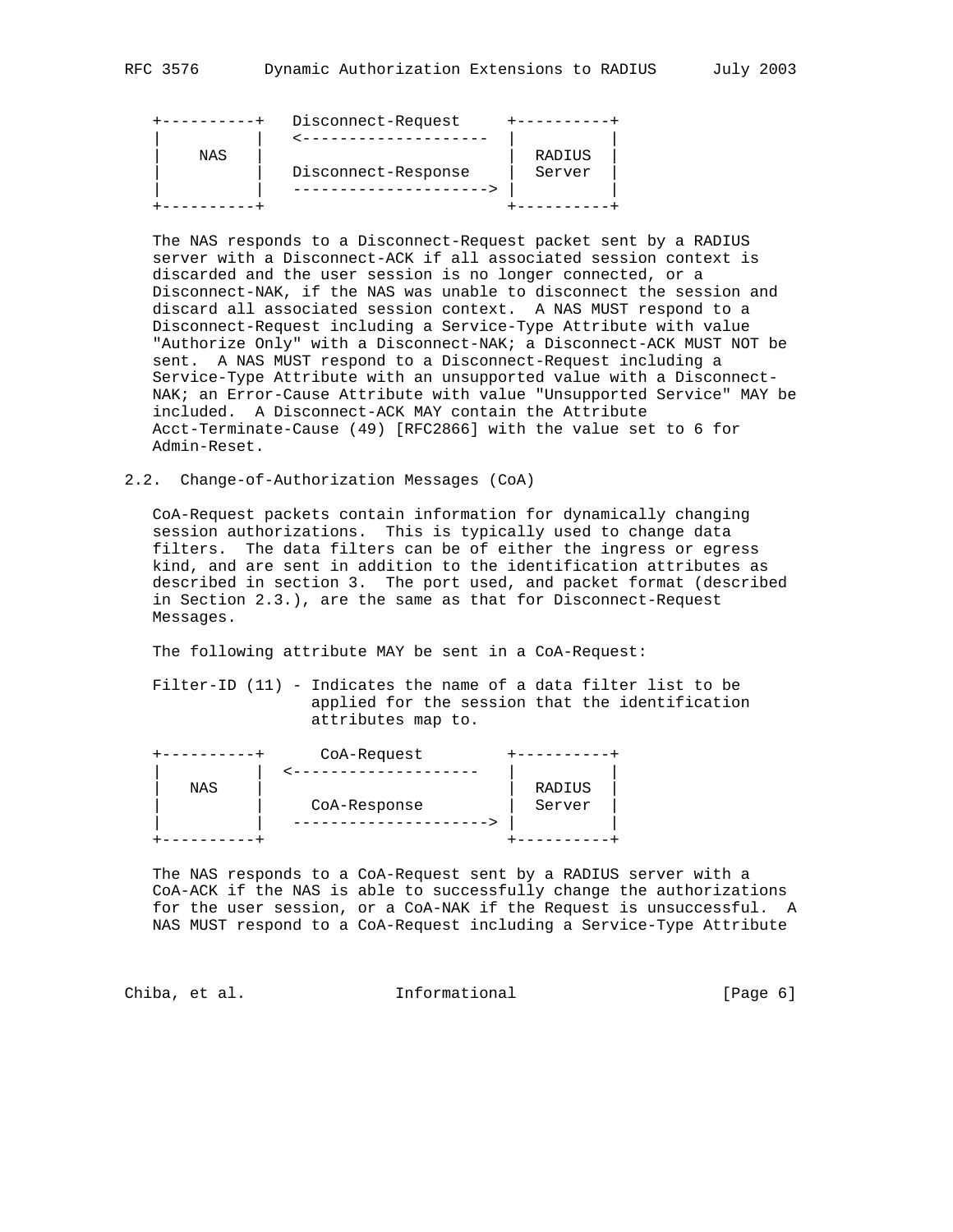|     | Disconnect-Request  |        |
|-----|---------------------|--------|
|     |                     |        |
| NAS |                     | RADIUS |
|     | Disconnect-Response | Server |
|     |                     |        |
|     |                     |        |

 The NAS responds to a Disconnect-Request packet sent by a RADIUS server with a Disconnect-ACK if all associated session context is discarded and the user session is no longer connected, or a Disconnect-NAK, if the NAS was unable to disconnect the session and discard all associated session context. A NAS MUST respond to a Disconnect-Request including a Service-Type Attribute with value "Authorize Only" with a Disconnect-NAK; a Disconnect-ACK MUST NOT be sent. A NAS MUST respond to a Disconnect-Request including a Service-Type Attribute with an unsupported value with a Disconnect- NAK; an Error-Cause Attribute with value "Unsupported Service" MAY be included. A Disconnect-ACK MAY contain the Attribute Acct-Terminate-Cause (49) [RFC2866] with the value set to 6 for Admin-Reset.

### 2.2. Change-of-Authorization Messages (CoA)

 CoA-Request packets contain information for dynamically changing session authorizations. This is typically used to change data filters. The data filters can be of either the ingress or egress kind, and are sent in addition to the identification attributes as described in section 3. The port used, and packet format (described in Section 2.3.), are the same as that for Disconnect-Request Messages.

The following attribute MAY be sent in a CoA-Request:

 Filter-ID (11) - Indicates the name of a data filter list to be applied for the session that the identification attributes map to.

|     | CoA-Request  |        |
|-----|--------------|--------|
|     |              |        |
| NAS |              | RADIUS |
|     | CoA-Response | Server |
|     |              |        |
|     |              |        |

 The NAS responds to a CoA-Request sent by a RADIUS server with a CoA-ACK if the NAS is able to successfully change the authorizations for the user session, or a CoA-NAK if the Request is unsuccessful. A NAS MUST respond to a CoA-Request including a Service-Type Attribute

Chiba, et al. **Informational** [Page 6]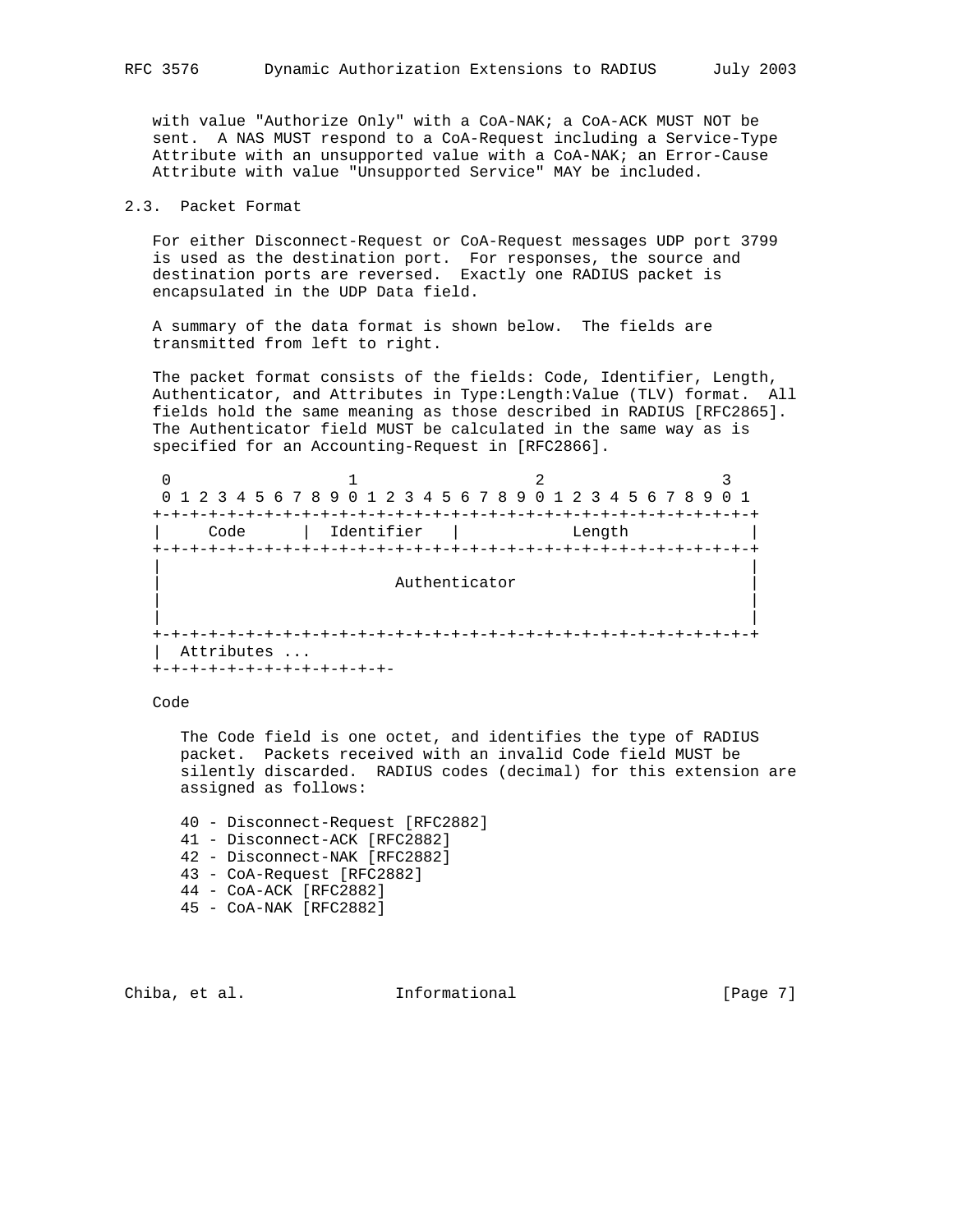with value "Authorize Only" with a CoA-NAK; a CoA-ACK MUST NOT be sent. A NAS MUST respond to a CoA-Request including a Service-Type Attribute with an unsupported value with a CoA-NAK; an Error-Cause Attribute with value "Unsupported Service" MAY be included.

# 2.3. Packet Format

 For either Disconnect-Request or CoA-Request messages UDP port 3799 is used as the destination port. For responses, the source and destination ports are reversed. Exactly one RADIUS packet is encapsulated in the UDP Data field.

 A summary of the data format is shown below. The fields are transmitted from left to right.

 The packet format consists of the fields: Code, Identifier, Length, Authenticator, and Attributes in Type:Length:Value (TLV) format. All fields hold the same meaning as those described in RADIUS [RFC2865]. The Authenticator field MUST be calculated in the same way as is specified for an Accounting-Request in [RFC2866].

| 0                      |            |                                                                 |                    |
|------------------------|------------|-----------------------------------------------------------------|--------------------|
|                        |            | 0 1 2 3 4 5 6 7 8 9 0 1 2 3 4 5 6 7 8 9 0 1 2 3 4 5 6 7 8 9 0 1 |                    |
|                        |            |                                                                 |                    |
| Code                   | Identifier | Length                                                          |                    |
|                        |            |                                                                 |                    |
|                        |            |                                                                 |                    |
|                        |            | Authenticator                                                   |                    |
|                        |            |                                                                 |                    |
|                        |            |                                                                 |                    |
|                        |            |                                                                 | -+-+-+-+-+-+-+-+-+ |
| Attributes             |            |                                                                 |                    |
| +-+-+-+-+-+-+-+-+-+-+- |            |                                                                 |                    |

Code

 The Code field is one octet, and identifies the type of RADIUS packet. Packets received with an invalid Code field MUST be silently discarded. RADIUS codes (decimal) for this extension are assigned as follows:

 40 - Disconnect-Request [RFC2882] 41 - Disconnect-ACK [RFC2882] 42 - Disconnect-NAK [RFC2882] 43 - CoA-Request [RFC2882] 44 - CoA-ACK [RFC2882] 45 - CoA-NAK [RFC2882]

Chiba, et al. **Informational** [Page 7]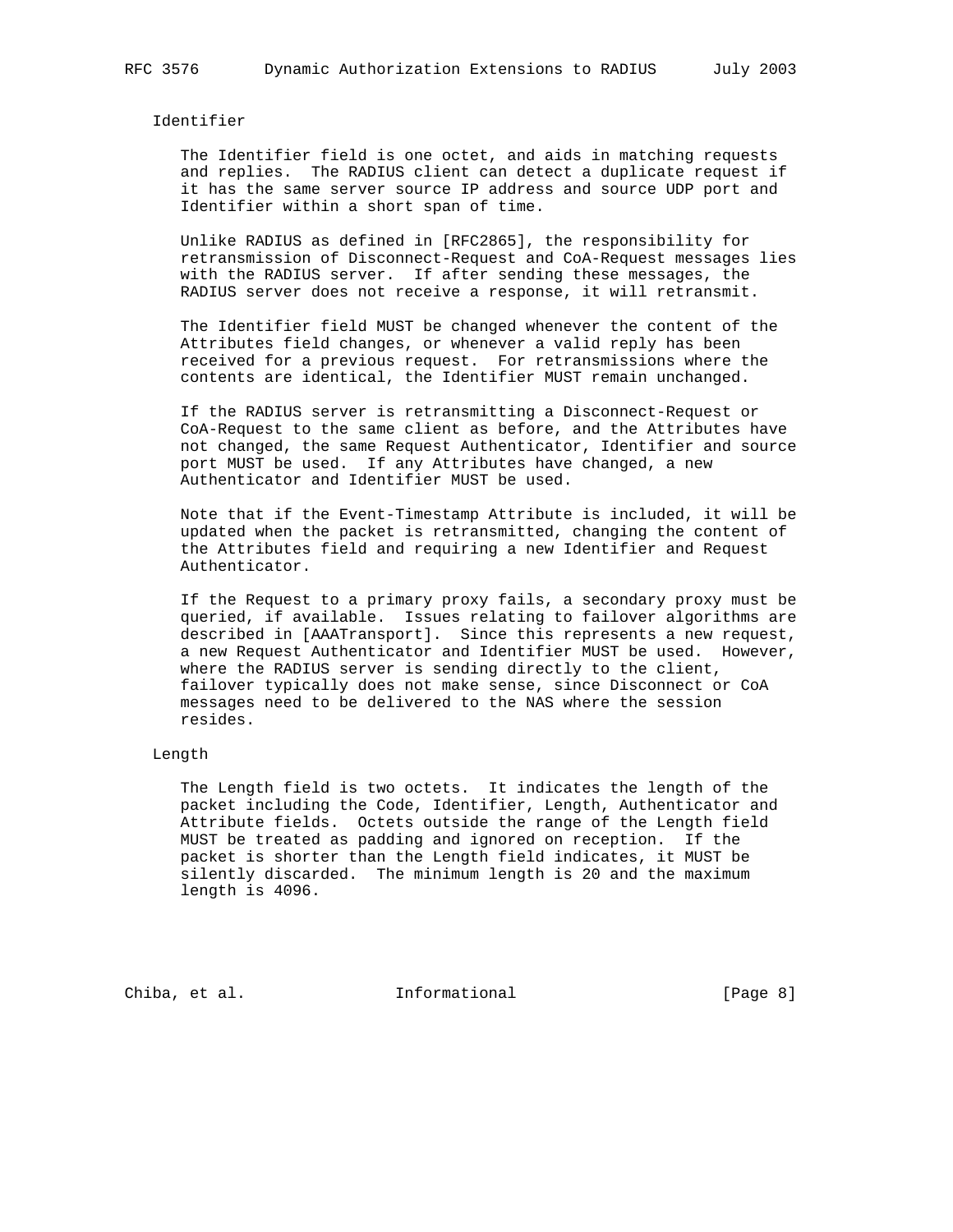Identifier

 The Identifier field is one octet, and aids in matching requests and replies. The RADIUS client can detect a duplicate request if it has the same server source IP address and source UDP port and Identifier within a short span of time.

 Unlike RADIUS as defined in [RFC2865], the responsibility for retransmission of Disconnect-Request and CoA-Request messages lies with the RADIUS server. If after sending these messages, the RADIUS server does not receive a response, it will retransmit.

 The Identifier field MUST be changed whenever the content of the Attributes field changes, or whenever a valid reply has been received for a previous request. For retransmissions where the contents are identical, the Identifier MUST remain unchanged.

 If the RADIUS server is retransmitting a Disconnect-Request or CoA-Request to the same client as before, and the Attributes have not changed, the same Request Authenticator, Identifier and source port MUST be used. If any Attributes have changed, a new Authenticator and Identifier MUST be used.

 Note that if the Event-Timestamp Attribute is included, it will be updated when the packet is retransmitted, changing the content of the Attributes field and requiring a new Identifier and Request Authenticator.

 If the Request to a primary proxy fails, a secondary proxy must be queried, if available. Issues relating to failover algorithms are described in [AAATransport]. Since this represents a new request, a new Request Authenticator and Identifier MUST be used. However, where the RADIUS server is sending directly to the client, failover typically does not make sense, since Disconnect or CoA messages need to be delivered to the NAS where the session resides.

#### Length

 The Length field is two octets. It indicates the length of the packet including the Code, Identifier, Length, Authenticator and Attribute fields. Octets outside the range of the Length field MUST be treated as padding and ignored on reception. If the packet is shorter than the Length field indicates, it MUST be silently discarded. The minimum length is 20 and the maximum length is 4096.

Chiba, et al. 1nformational 1999 [Page 8]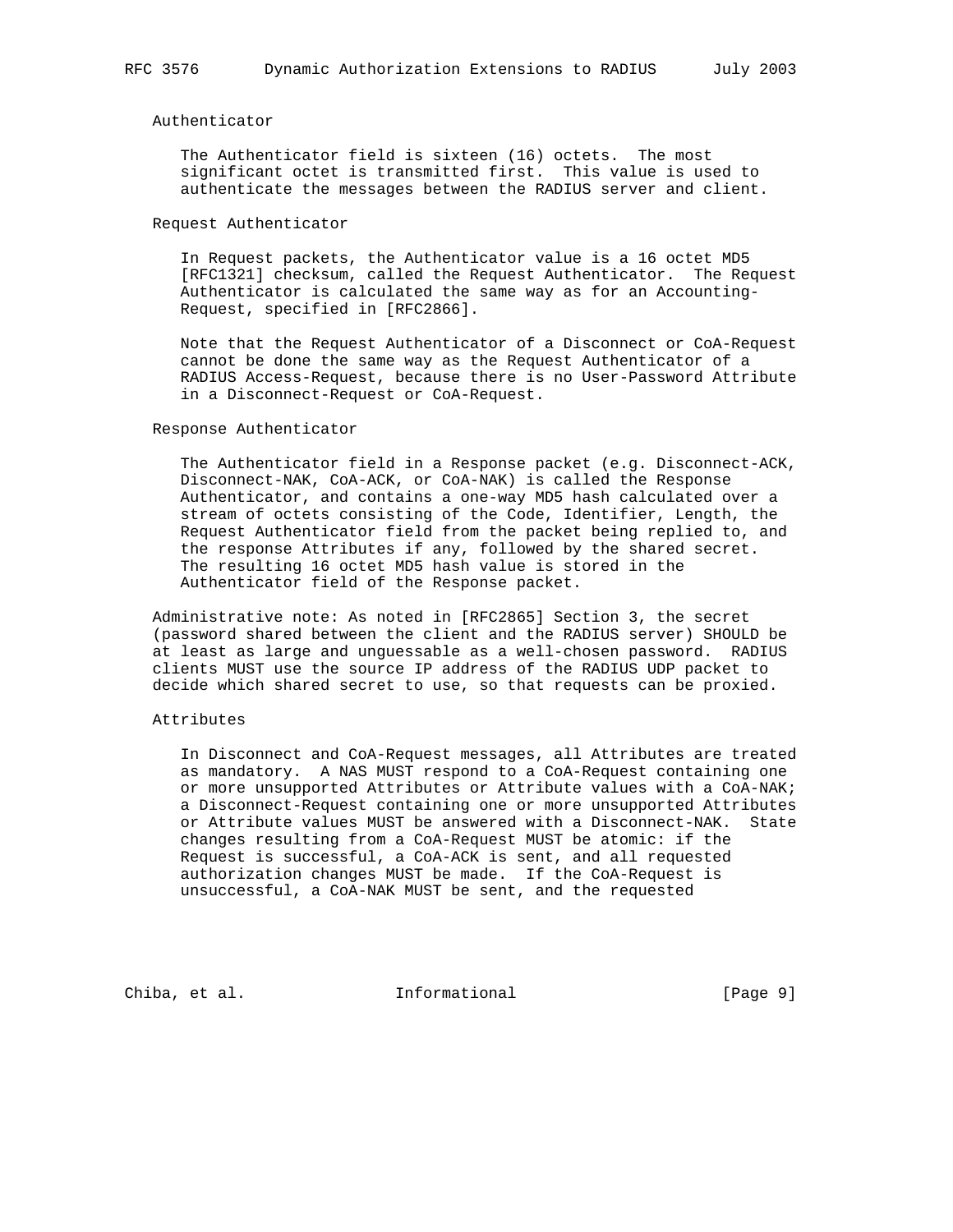### Authenticator

 The Authenticator field is sixteen (16) octets. The most significant octet is transmitted first. This value is used to authenticate the messages between the RADIUS server and client.

#### Request Authenticator

 In Request packets, the Authenticator value is a 16 octet MD5 [RFC1321] checksum, called the Request Authenticator. The Request Authenticator is calculated the same way as for an Accounting- Request, specified in [RFC2866].

 Note that the Request Authenticator of a Disconnect or CoA-Request cannot be done the same way as the Request Authenticator of a RADIUS Access-Request, because there is no User-Password Attribute in a Disconnect-Request or CoA-Request.

#### Response Authenticator

 The Authenticator field in a Response packet (e.g. Disconnect-ACK, Disconnect-NAK, CoA-ACK, or CoA-NAK) is called the Response Authenticator, and contains a one-way MD5 hash calculated over a stream of octets consisting of the Code, Identifier, Length, the Request Authenticator field from the packet being replied to, and the response Attributes if any, followed by the shared secret. The resulting 16 octet MD5 hash value is stored in the Authenticator field of the Response packet.

 Administrative note: As noted in [RFC2865] Section 3, the secret (password shared between the client and the RADIUS server) SHOULD be at least as large and unguessable as a well-chosen password. RADIUS clients MUST use the source IP address of the RADIUS UDP packet to decide which shared secret to use, so that requests can be proxied.

### Attributes

 In Disconnect and CoA-Request messages, all Attributes are treated as mandatory. A NAS MUST respond to a CoA-Request containing one or more unsupported Attributes or Attribute values with a CoA-NAK; a Disconnect-Request containing one or more unsupported Attributes or Attribute values MUST be answered with a Disconnect-NAK. State changes resulting from a CoA-Request MUST be atomic: if the Request is successful, a CoA-ACK is sent, and all requested authorization changes MUST be made. If the CoA-Request is unsuccessful, a CoA-NAK MUST be sent, and the requested

Chiba, et al. **Informational** [Page 9]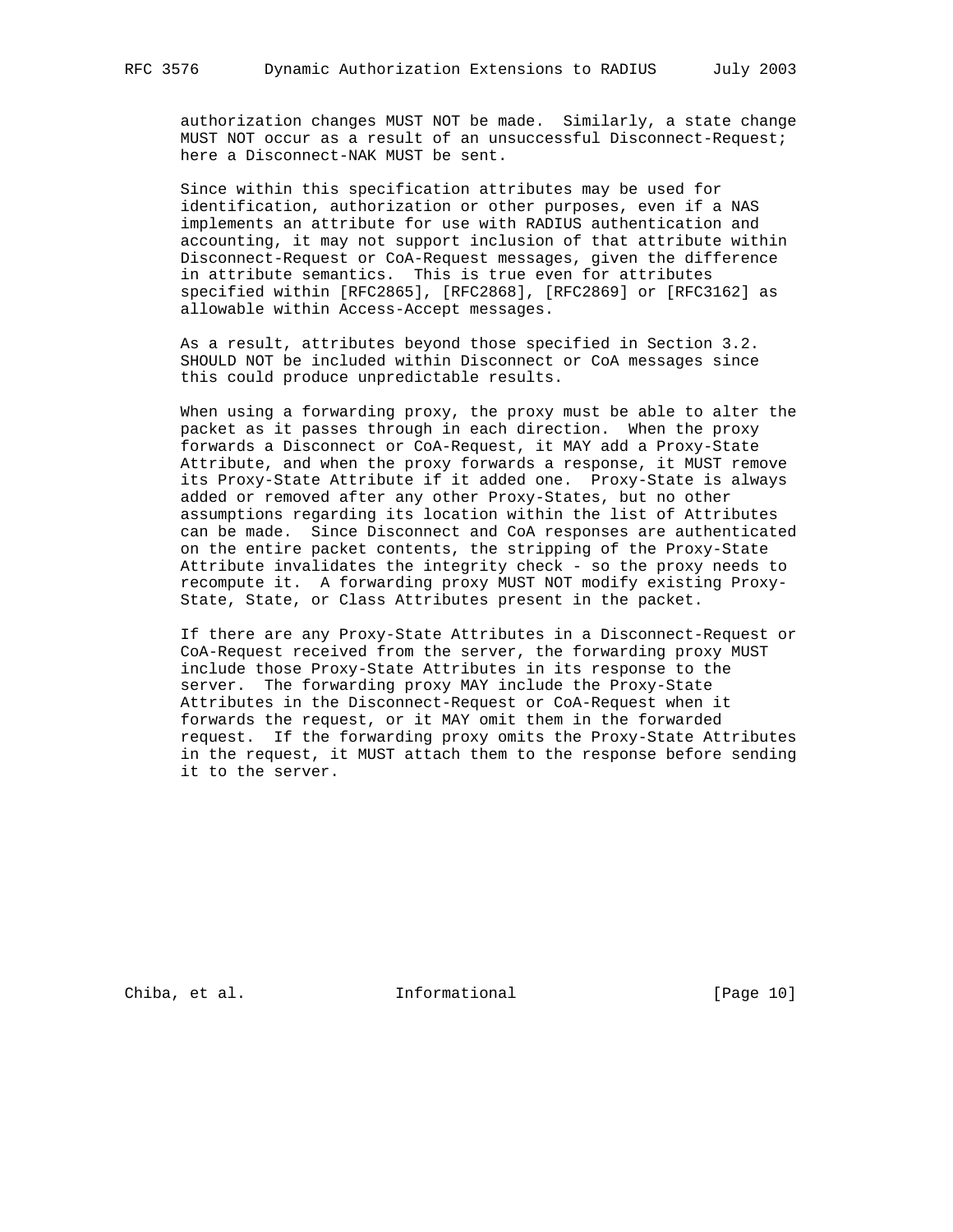authorization changes MUST NOT be made. Similarly, a state change MUST NOT occur as a result of an unsuccessful Disconnect-Request; here a Disconnect-NAK MUST be sent.

 Since within this specification attributes may be used for identification, authorization or other purposes, even if a NAS implements an attribute for use with RADIUS authentication and accounting, it may not support inclusion of that attribute within Disconnect-Request or CoA-Request messages, given the difference in attribute semantics. This is true even for attributes specified within [RFC2865], [RFC2868], [RFC2869] or [RFC3162] as allowable within Access-Accept messages.

 As a result, attributes beyond those specified in Section 3.2. SHOULD NOT be included within Disconnect or CoA messages since this could produce unpredictable results.

 When using a forwarding proxy, the proxy must be able to alter the packet as it passes through in each direction. When the proxy forwards a Disconnect or CoA-Request, it MAY add a Proxy-State Attribute, and when the proxy forwards a response, it MUST remove its Proxy-State Attribute if it added one. Proxy-State is always added or removed after any other Proxy-States, but no other assumptions regarding its location within the list of Attributes can be made. Since Disconnect and CoA responses are authenticated on the entire packet contents, the stripping of the Proxy-State Attribute invalidates the integrity check - so the proxy needs to recompute it. A forwarding proxy MUST NOT modify existing Proxy- State, State, or Class Attributes present in the packet.

 If there are any Proxy-State Attributes in a Disconnect-Request or CoA-Request received from the server, the forwarding proxy MUST include those Proxy-State Attributes in its response to the server. The forwarding proxy MAY include the Proxy-State Attributes in the Disconnect-Request or CoA-Request when it forwards the request, or it MAY omit them in the forwarded request. If the forwarding proxy omits the Proxy-State Attributes in the request, it MUST attach them to the response before sending it to the server.

Chiba, et al. 10 Informational 1999 [Page 10]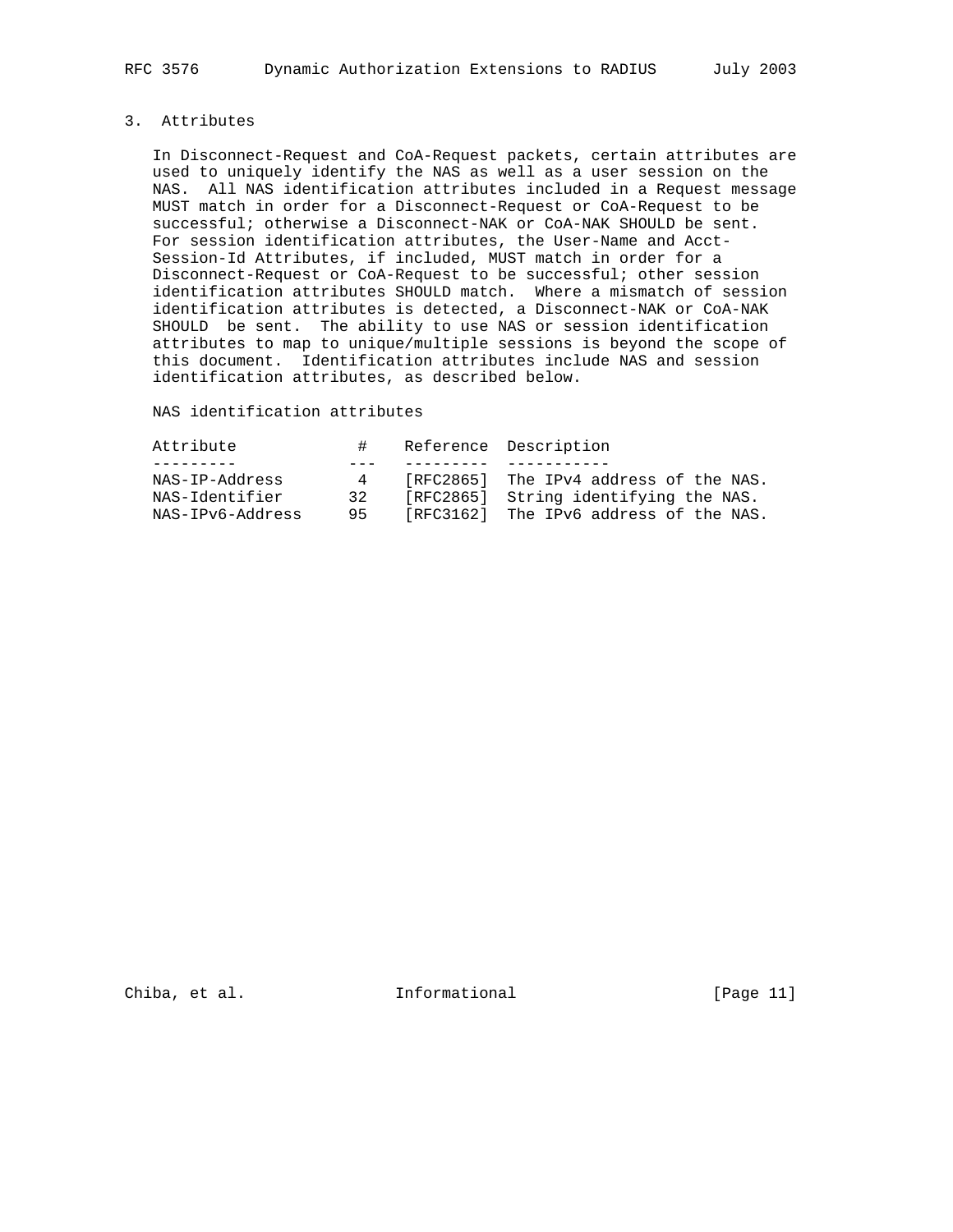# 3. Attributes

 In Disconnect-Request and CoA-Request packets, certain attributes are used to uniquely identify the NAS as well as a user session on the NAS. All NAS identification attributes included in a Request message MUST match in order for a Disconnect-Request or CoA-Request to be successful; otherwise a Disconnect-NAK or CoA-NAK SHOULD be sent. For session identification attributes, the User-Name and Acct- Session-Id Attributes, if included, MUST match in order for a Disconnect-Request or CoA-Request to be successful; other session identification attributes SHOULD match. Where a mismatch of session identification attributes is detected, a Disconnect-NAK or CoA-NAK SHOULD be sent. The ability to use NAS or session identification attributes to map to unique/multiple sessions is beyond the scope of this document. Identification attributes include NAS and session identification attributes, as described below.

NAS identification attributes

| Attribute        | $\#$ | Reference Description                  |
|------------------|------|----------------------------------------|
|                  |      |                                        |
| NAS-IP-Address   | 4    | [RFC2865] The IPv4 address of the NAS. |
| NAS-Identifier   | 32   | [RFC2865] String identifying the NAS.  |
| NAS-IPv6-Address | 95   | [RFC3162] The IPv6 address of the NAS. |

Chiba, et al. **Informational** [Page 11]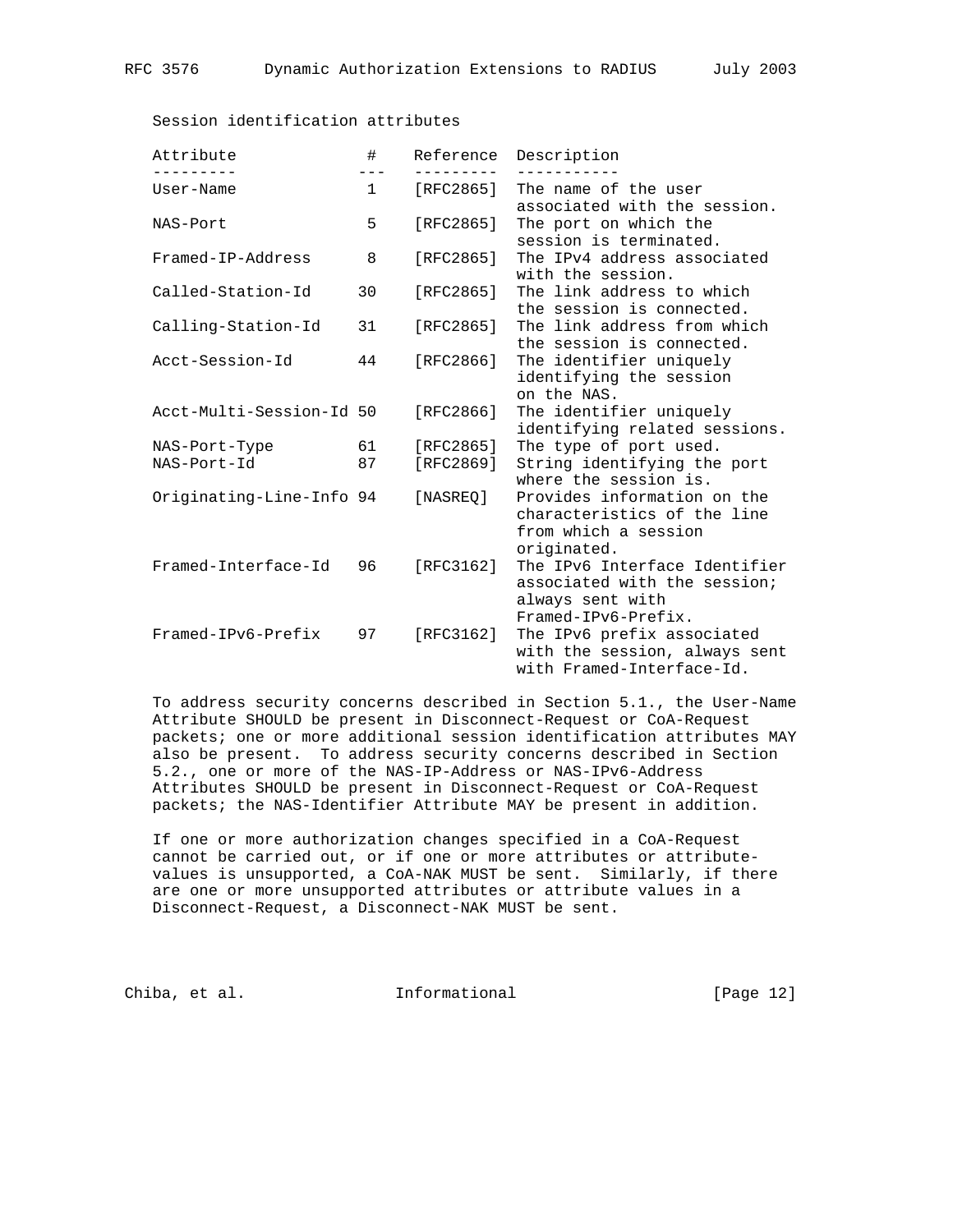| Attribute                | #                     | Reference | Description                                                                                              |
|--------------------------|-----------------------|-----------|----------------------------------------------------------------------------------------------------------|
| User-Name                | $---$<br>$\mathbf{1}$ | [RFC2865] | The name of the user<br>associated with the session.                                                     |
| NAS-Port                 | 5                     | [RFC2865] | The port on which the<br>session is terminated.                                                          |
| Framed-IP-Address        | 8                     | [RFC2865] | The IPv4 address associated<br>with the session.                                                         |
| Called-Station-Id        | 30                    | [RFC2865] | The link address to which<br>the session is connected.                                                   |
| Calling-Station-Id       | 31                    | [RFC2865] | The link address from which<br>the session is connected.                                                 |
| Acct-Session-Id          | 44                    | [RFC2866] | The identifier uniquely<br>identifying the session<br>on the NAS.                                        |
| Acct-Multi-Session-Id 50 |                       | [RFC2866] | The identifier uniquely<br>identifying related sessions.                                                 |
| NAS-Port-Type            | 61                    | [RFC2865] | The type of port used.                                                                                   |
| NAS-Port-Id              | 87                    | [RFC2869] | String identifying the port<br>where the session is.                                                     |
| Originating-Line-Info 94 |                       | [NASREO]  | Provides information on the<br>characteristics of the line<br>from which a session<br>originated.        |
| Framed-Interface-Id      | 96                    | [RFC3162] | The IPv6 Interface Identifier<br>associated with the session;<br>always sent with<br>Framed-IPv6-Prefix. |
| Framed-IPv6-Prefix       | 97                    | [RFC3162] | The IPv6 prefix associated<br>with the session, always sent<br>with Framed-Interface-Id.                 |

## Session identification attributes

 To address security concerns described in Section 5.1., the User-Name Attribute SHOULD be present in Disconnect-Request or CoA-Request packets; one or more additional session identification attributes MAY also be present. To address security concerns described in Section 5.2., one or more of the NAS-IP-Address or NAS-IPv6-Address Attributes SHOULD be present in Disconnect-Request or CoA-Request packets; the NAS-Identifier Attribute MAY be present in addition.

 If one or more authorization changes specified in a CoA-Request cannot be carried out, or if one or more attributes or attribute values is unsupported, a CoA-NAK MUST be sent. Similarly, if there are one or more unsupported attributes or attribute values in a Disconnect-Request, a Disconnect-NAK MUST be sent.

Chiba, et al. 1nformational [Page 12]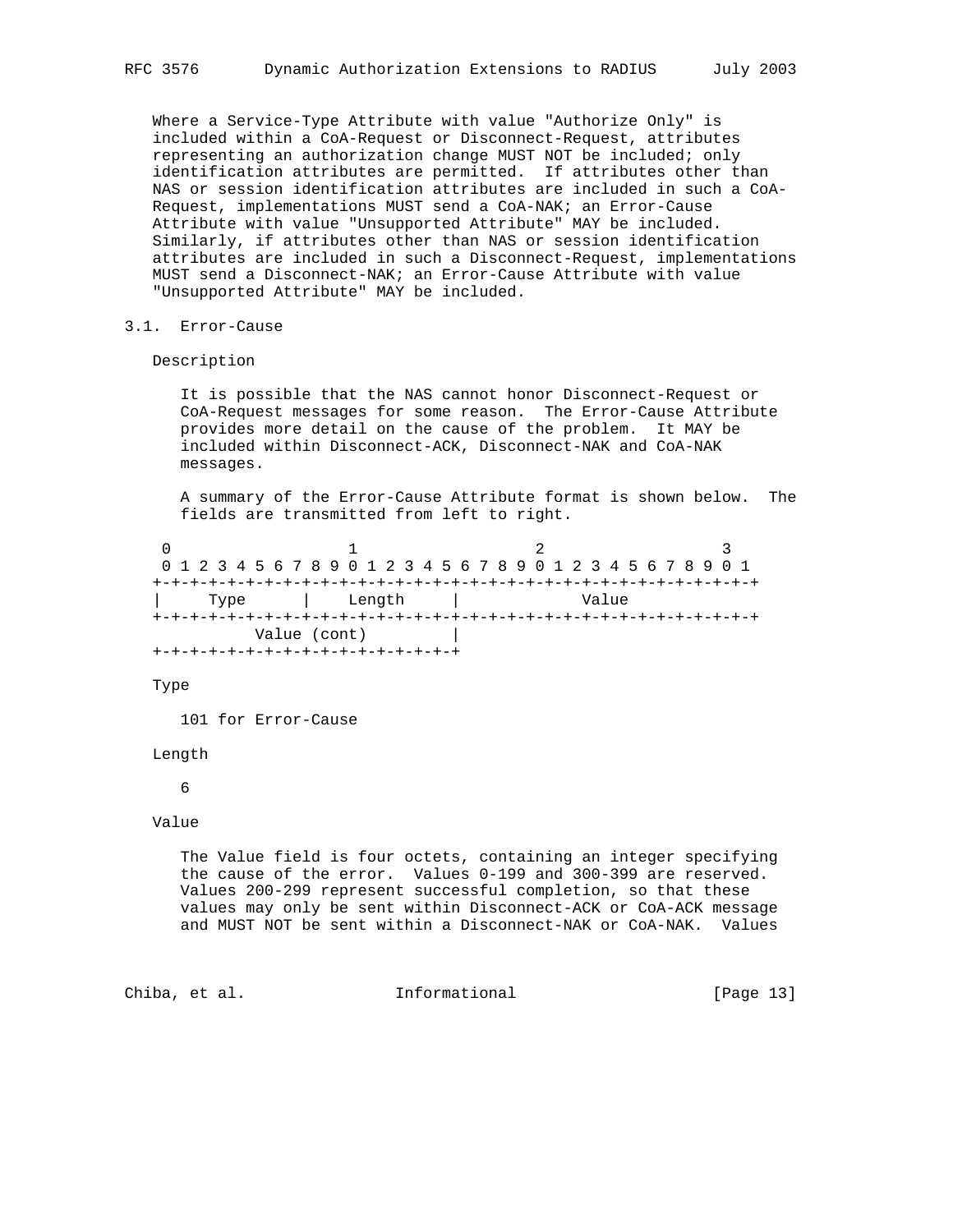Where a Service-Type Attribute with value "Authorize Only" is included within a CoA-Request or Disconnect-Request, attributes representing an authorization change MUST NOT be included; only identification attributes are permitted. If attributes other than NAS or session identification attributes are included in such a CoA- Request, implementations MUST send a CoA-NAK; an Error-Cause Attribute with value "Unsupported Attribute" MAY be included. Similarly, if attributes other than NAS or session identification attributes are included in such a Disconnect-Request, implementations MUST send a Disconnect-NAK; an Error-Cause Attribute with value "Unsupported Attribute" MAY be included.

### 3.1. Error-Cause

Description

 It is possible that the NAS cannot honor Disconnect-Request or CoA-Request messages for some reason. The Error-Cause Attribute provides more detail on the cause of the problem. It MAY be included within Disconnect-ACK, Disconnect-NAK and CoA-NAK messages.

 A summary of the Error-Cause Attribute format is shown below. The fields are transmitted from left to right.

0  $1$  2 3 0 1 2 3 4 5 6 7 8 9 0 1 2 3 4 5 6 7 8 9 0 1 2 3 4 5 6 7 8 9 0 1 +-+-+-+-+-+-+-+-+-+-+-+-+-+-+-+-+-+-+-+-+-+-+-+-+-+-+-+-+-+-+-+-+ | Type | Length | Value +-+-+-+-+-+-+-+-+-+-+-+-+-+-+-+-+-+-+-+-+-+-+-+-+-+-+-+-+-+-+-+-+ Value (cont) | +-+-+-+-+-+-+-+-+-+-+-+-+-+-+-+-+

Type

101 for Error-Cause

Length

#### 6

Value

 The Value field is four octets, containing an integer specifying the cause of the error. Values 0-199 and 300-399 are reserved. Values 200-299 represent successful completion, so that these values may only be sent within Disconnect-ACK or CoA-ACK message and MUST NOT be sent within a Disconnect-NAK or CoA-NAK. Values

Chiba, et al. 1nformational [Page 13]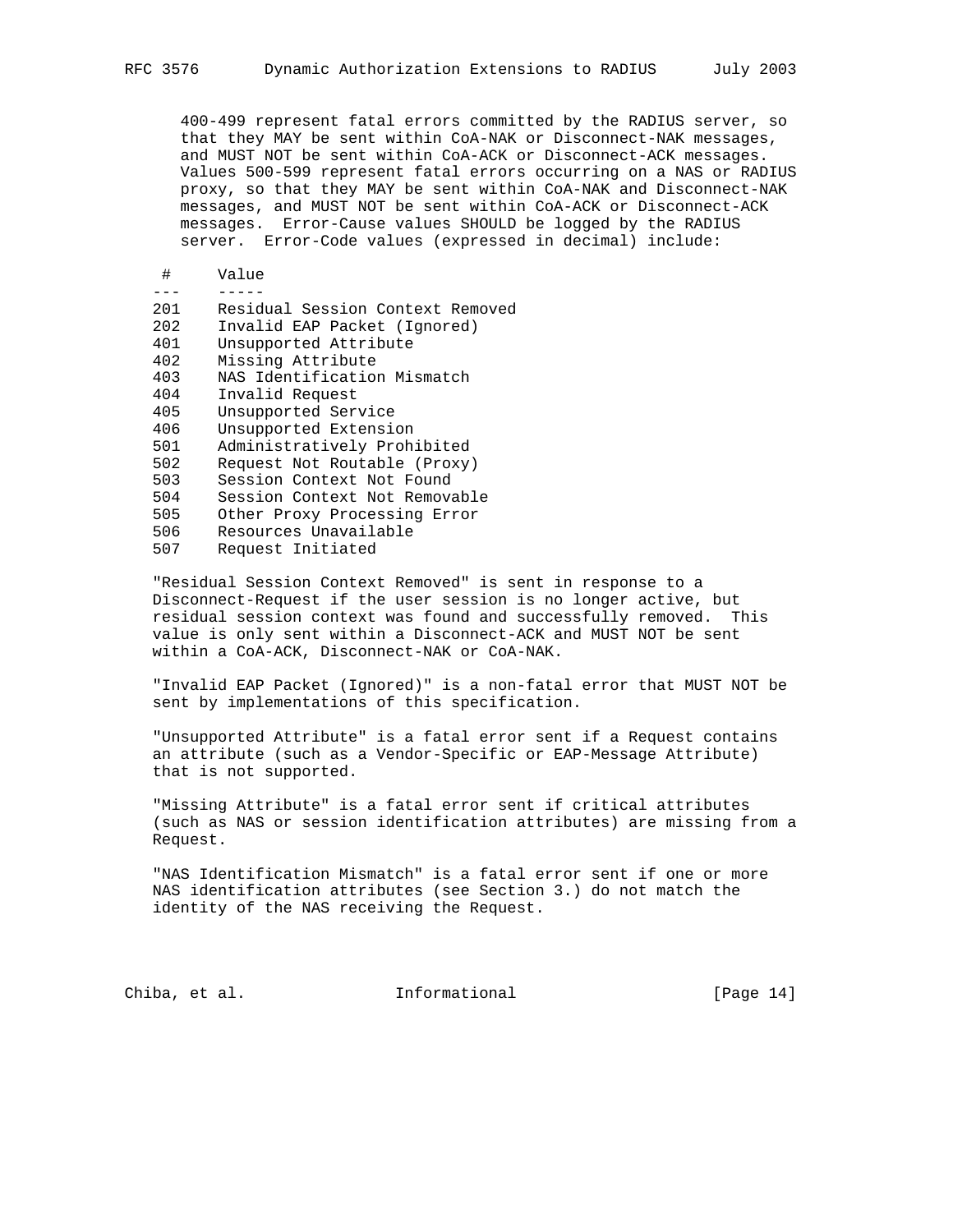400-499 represent fatal errors committed by the RADIUS server, so that they MAY be sent within CoA-NAK or Disconnect-NAK messages, and MUST NOT be sent within CoA-ACK or Disconnect-ACK messages. Values 500-599 represent fatal errors occurring on a NAS or RADIUS proxy, so that they MAY be sent within CoA-NAK and Disconnect-NAK messages, and MUST NOT be sent within CoA-ACK or Disconnect-ACK messages. Error-Cause values SHOULD be logged by the RADIUS server. Error-Code values (expressed in decimal) include:

# Value

| 201 | Residual Session Context Removed |
|-----|----------------------------------|
| 202 | Invalid EAP Packet (Ignored)     |
| 401 | Unsupported Attribute            |
| 402 | Missing Attribute                |
| 403 | NAS Identification Mismatch      |
| 404 | Invalid Request                  |
| 405 | Unsupported Service              |
| 406 | Unsupported Extension            |
| 501 | Administratively Prohibited      |
| 502 | Request Not Routable (Proxy)     |
| 503 | Session Context Not Found        |
| 504 | Session Context Not Removable    |
| 505 | Other Proxy Processing Error     |
| 506 | Resources Unavailable            |
|     |                                  |

507 Request Initiated

 "Residual Session Context Removed" is sent in response to a Disconnect-Request if the user session is no longer active, but residual session context was found and successfully removed. This value is only sent within a Disconnect-ACK and MUST NOT be sent within a CoA-ACK, Disconnect-NAK or CoA-NAK.

 "Invalid EAP Packet (Ignored)" is a non-fatal error that MUST NOT be sent by implementations of this specification.

 "Unsupported Attribute" is a fatal error sent if a Request contains an attribute (such as a Vendor-Specific or EAP-Message Attribute) that is not supported.

 "Missing Attribute" is a fatal error sent if critical attributes (such as NAS or session identification attributes) are missing from a Request.

 "NAS Identification Mismatch" is a fatal error sent if one or more NAS identification attributes (see Section 3.) do not match the identity of the NAS receiving the Request.

Chiba, et al. **Informational** [Page 14]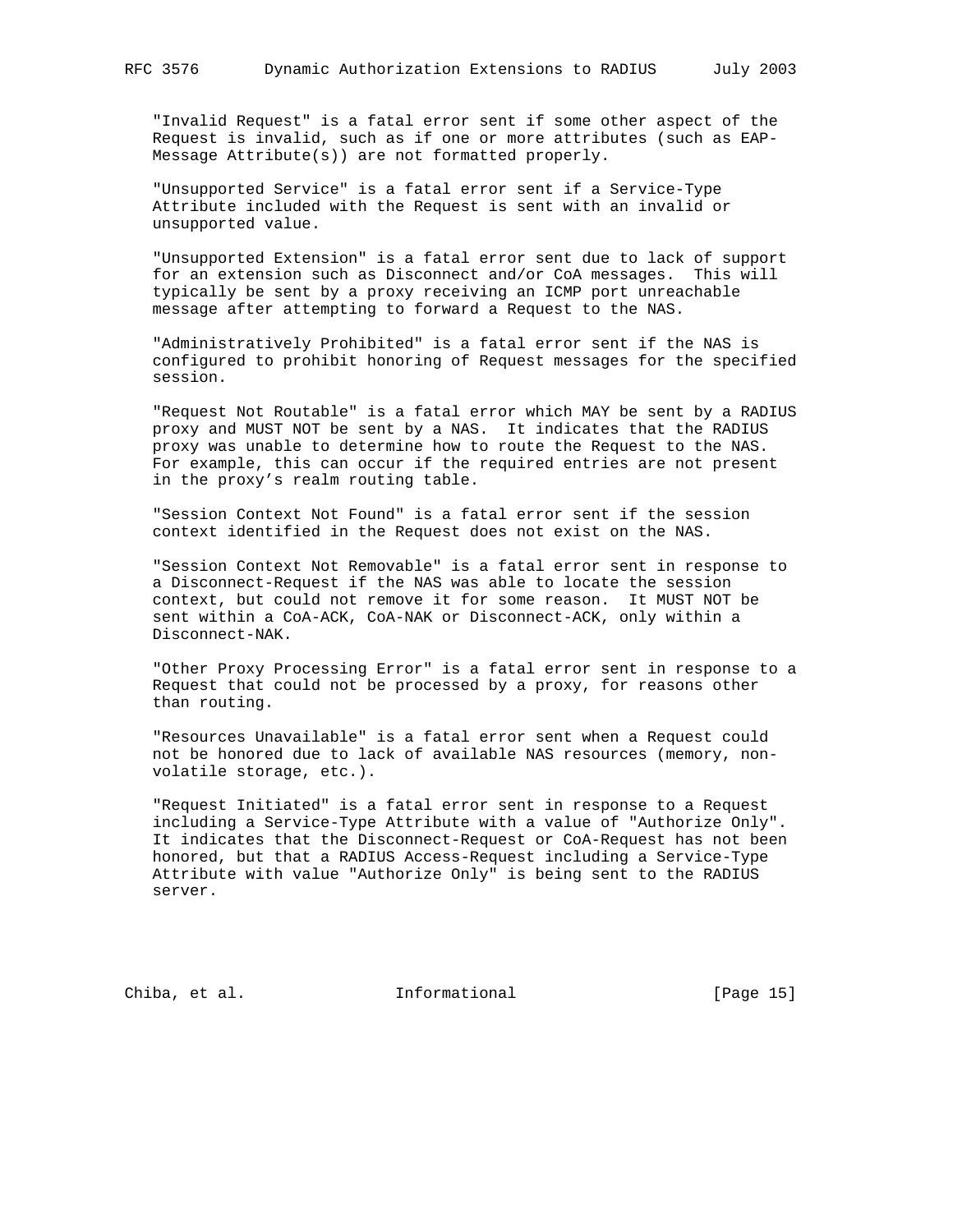"Invalid Request" is a fatal error sent if some other aspect of the Request is invalid, such as if one or more attributes (such as EAP- Message Attribute(s)) are not formatted properly.

 "Unsupported Service" is a fatal error sent if a Service-Type Attribute included with the Request is sent with an invalid or unsupported value.

 "Unsupported Extension" is a fatal error sent due to lack of support for an extension such as Disconnect and/or CoA messages. This will typically be sent by a proxy receiving an ICMP port unreachable message after attempting to forward a Request to the NAS.

 "Administratively Prohibited" is a fatal error sent if the NAS is configured to prohibit honoring of Request messages for the specified session.

 "Request Not Routable" is a fatal error which MAY be sent by a RADIUS proxy and MUST NOT be sent by a NAS. It indicates that the RADIUS proxy was unable to determine how to route the Request to the NAS. For example, this can occur if the required entries are not present in the proxy's realm routing table.

 "Session Context Not Found" is a fatal error sent if the session context identified in the Request does not exist on the NAS.

 "Session Context Not Removable" is a fatal error sent in response to a Disconnect-Request if the NAS was able to locate the session context, but could not remove it for some reason. It MUST NOT be sent within a CoA-ACK, CoA-NAK or Disconnect-ACK, only within a Disconnect-NAK.

 "Other Proxy Processing Error" is a fatal error sent in response to a Request that could not be processed by a proxy, for reasons other than routing.

 "Resources Unavailable" is a fatal error sent when a Request could not be honored due to lack of available NAS resources (memory, non volatile storage, etc.).

 "Request Initiated" is a fatal error sent in response to a Request including a Service-Type Attribute with a value of "Authorize Only". It indicates that the Disconnect-Request or CoA-Request has not been honored, but that a RADIUS Access-Request including a Service-Type Attribute with value "Authorize Only" is being sent to the RADIUS server.

Chiba, et al. 10 Informational 1999 [Page 15]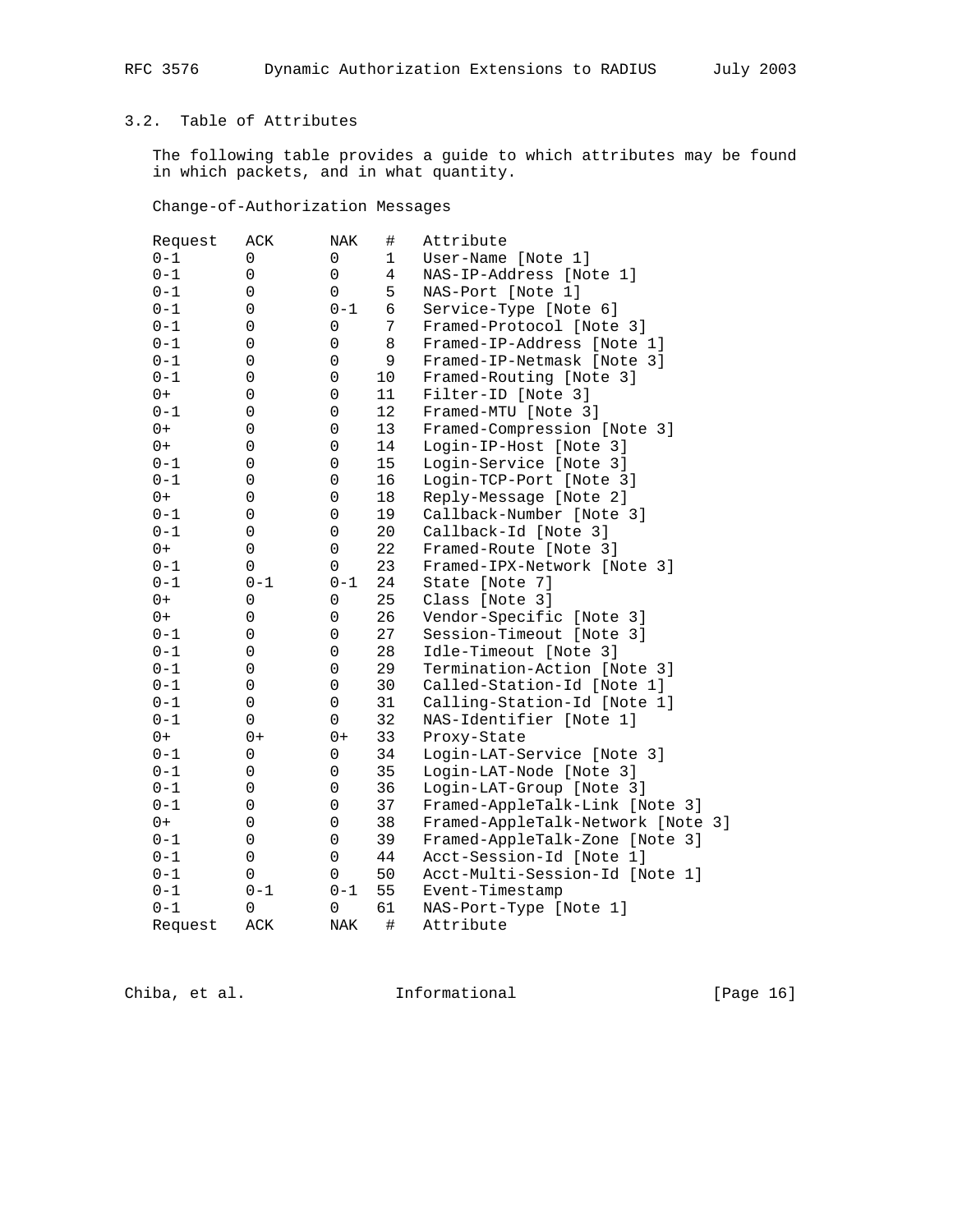# 3.2. Table of Attributes

 The following table provides a guide to which attributes may be found in which packets, and in what quantity.

Change-of-Authorization Messages

| Request | ACK     | NAK            | #  | Attribute                         |
|---------|---------|----------------|----|-----------------------------------|
| $0 - 1$ | 0       | 0              | 1  | User-Name [Note 1]                |
| $0 - 1$ | 0       | 0              | 4  | NAS-IP-Address [Note 1]           |
| $0 - 1$ | 0       | 0              | 5  | NAS-Port [Note 1]                 |
| $0 - 1$ | 0       | $0 - 1$        | 6  | Service-Type [Note 6]             |
| $0 - 1$ | 0       | $\overline{0}$ | 7  | Framed-Protocol [Note 3]          |
| $0 - 1$ | 0       | 0              | 8  | Framed-IP-Address [Note 1]        |
| $0 - 1$ | 0       | 0              | 9  | Framed-IP-Netmask [Note 3]        |
| $0 - 1$ | 0       | 0              | 10 | Framed-Routing [Note 3]           |
| $0+$    | 0       | 0              | 11 | Filter-ID [Note 3]                |
| $0 - 1$ | 0       | 0              | 12 | Framed-MTU [Note 3]               |
| $0+$    | 0       | 0              | 13 | Framed-Compression [Note 3]       |
| $0+$    | 0       | 0              | 14 | Login-IP-Host [Note 3]            |
| $0 - 1$ | 0       | 0              | 15 | Login-Service [Note 3]            |
| $0 - 1$ | 0       | 0              | 16 | Login-TCP-Port [Note 3]           |
| $0+$    | 0       | 0              | 18 | Reply-Message [Note 2]            |
| $0 - 1$ | 0       | 0              | 19 | Callback-Number [Note 3]          |
| $0 - 1$ | 0       | 0              | 20 | Callback-Id [Note 3]              |
| $0+$    | 0       | 0              | 22 | Framed-Route [Note 3]             |
| $0 - 1$ | 0       | 0              | 23 | Framed-IPX-Network [Note 3]       |
| $0 - 1$ | $0 - 1$ | $0 - 1$        | 24 | State [Note 7]                    |
| $0+$    | 0       | 0              | 25 | Class [Note 3]                    |
| $0+$    | 0       | 0              | 26 | Vendor-Specific [Note 3]          |
| $0 - 1$ | 0       | 0              | 27 | Session-Timeout [Note 3]          |
| $0 - 1$ | 0       | 0              | 28 | Idle-Timeout [Note 3]             |
| $0 - 1$ | 0       | 0              | 29 | Termination-Action [Note 3]       |
| $0 - 1$ | 0       | 0              | 30 | Called-Station-Id [Note 1]        |
| $0 - 1$ | 0       | 0              | 31 | Calling-Station-Id [Note 1]       |
| $0 - 1$ | 0       | 0              | 32 | NAS-Identifier [Note 1]           |
| $0+$    | $0+$    | $0+$           | 33 | Proxy-State                       |
| $0 - 1$ | 0       | 0              | 34 | Login-LAT-Service [Note 3]        |
| $0 - 1$ | 0       | 0              | 35 | Login-LAT-Node [Note 3]           |
| $0 - 1$ | 0       | 0              | 36 | Login-LAT-Group [Note 3]          |
| $0 - 1$ | 0       | 0              | 37 | Framed-AppleTalk-Link [Note 3]    |
| $0+$    | 0       | 0              | 38 | Framed-AppleTalk-Network [Note 3] |
| $0 - 1$ | 0       | 0              | 39 | Framed-AppleTalk-Zone [Note 3]    |
| $0 - 1$ | 0       | 0              | 44 | Acct-Session-Id [Note 1]          |
| $0 - 1$ | 0       | 0              | 50 | Acct-Multi-Session-Id [Note 1]    |
| $0 - 1$ | $0 - 1$ | $0 - 1$        | 55 | Event-Timestamp                   |
| $0 - 1$ | 0       | 0              | 61 | NAS-Port-Type [Note 1]            |
| Request | ACK     | NAK            | #  | Attribute                         |

Chiba, et al. 1nformational 1999 [Page 16]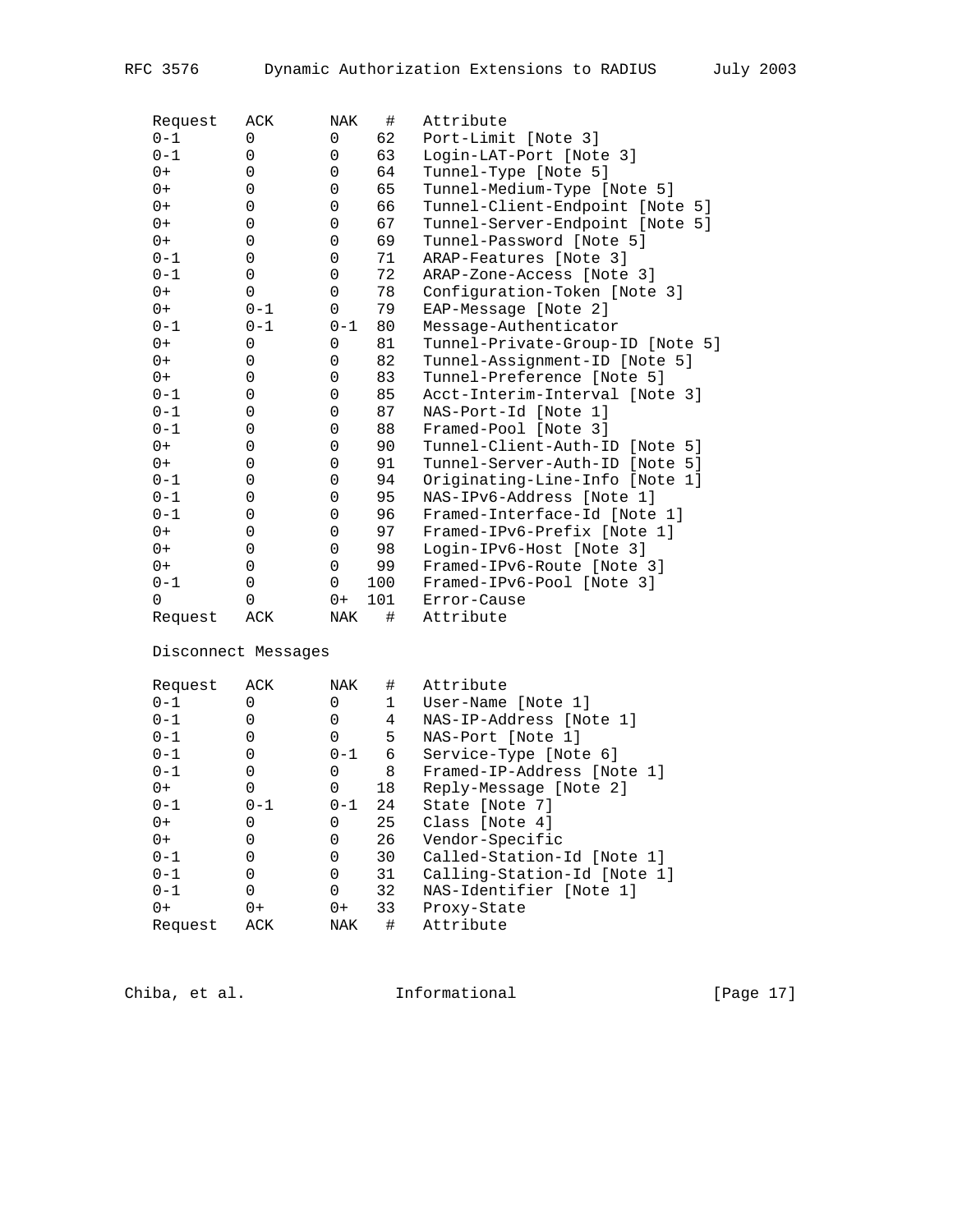| Request  | ACK         | NAK     | #   | Attribute                        |
|----------|-------------|---------|-----|----------------------------------|
| $0 - 1$  | $\Omega$    | 0       | 62  | Port-Limit [Note 3]              |
| $0 - 1$  | $\Omega$    | 0       | 63  | Login-LAT-Port [Note 3]          |
| $0+$     | $\Omega$    | 0       | 64  | Tunnel-Type [Note 5]             |
| $0+$     | 0           | 0       | 65  | Tunnel-Medium-Type [Note 5]      |
| $0+$     | 0           | 0       | 66  | Tunnel-Client-Endpoint [Note 5]  |
| $0+$     | $\Omega$    | 0       | 67  | Tunnel-Server-Endpoint [Note 5]  |
| $0+$     | 0           | 0       | 69  | Tunnel-Password [Note 5]         |
| $0 - 1$  | 0           | 0       | 71  | ARAP-Features [Note 3]           |
| $0 - 1$  | 0           | 0       | 72  | ARAP-Zone-Access [Note 3]        |
| $0+$     | $\Omega$    | 0       | 78  | Configuration-Token [Note 3]     |
| $0+$     | $0 - 1$     | 0       | 79  | EAP-Message [Note 2]             |
| $0 - 1$  | $0 - 1$     | $0 - 1$ | 80  | Message-Authenticator            |
| $0+$     | $\Omega$    | 0       | 81  | Tunnel-Private-Group-ID [Note 5] |
| $0+$     | $\Omega$    | 0       | 82  | Tunnel-Assignment-ID [Note 5]    |
| $0+$     | 0           | 0       | 83  | Tunnel-Preference [Note 5]       |
| $0 - 1$  | 0           | 0       | 85  | Acct-Interim-Interval [Note 3]   |
| $0 - 1$  | $\mathbf 0$ | 0       | 87  | NAS-Port-Id [Note 1]             |
| $0 - 1$  | $\Omega$    | 0       | 88  | Framed-Pool [Note 3]             |
| $0+$     | 0           | 0       | 90  | Tunnel-Client-Auth-ID [Note 5]   |
| $0+$     | 0           | 0       | 91  | Tunnel-Server-Auth-ID [Note 5]   |
| $0 - 1$  | 0           | 0       | 94  | Originating-Line-Info [Note 1]   |
| $0 - 1$  | $\Omega$    | 0       | 95  | NAS-IPv6-Address [Note 1]        |
| $0 - 1$  | 0           | 0       | 96  | Framed-Interface-Id [Note 1]     |
| $0+$     | $\Omega$    | 0       | 97  | Framed-IPv6-Prefix [Note 1]      |
| $0+$     | 0           | 0       | 98  | Login-IPv6-Host [Note 3]         |
| $0+$     | $\mathbf 0$ | 0       | 99  | Framed-IPv6-Route [Note 3]       |
| $0 - 1$  | $\mathbf 0$ | 0       | 100 | Framed-IPv6-Pool [Note 3]        |
| $\Omega$ | $\Omega$    | $0+$    | 101 | Error-Cause                      |
| Request  | ACK         | NAK     | #   | Attribute                        |

Disconnect Messages

| Request | ACK     | NAK      | #  | Attribute                   |
|---------|---------|----------|----|-----------------------------|
| $0 - 1$ | 0       |          | 1  | User-Name [Note 1]          |
| $0 - 1$ | 0       | 0        | 4  | NAS-IP-Address [Note 1]     |
| $0 - 1$ |         | $\Omega$ | 5  | NAS-Port [Note 1]           |
| $0 - 1$ | 0       | $0 - 1$  | 6  | Service-Type [Note 6]       |
| $0 - 1$ |         | 0        | 8  | Framed-IP-Address [Note 1]  |
| $0+$    | 0       | $\Omega$ | 18 | Reply-Message [Note 2]      |
| $0 - 1$ | $0 - 1$ | $0 - 1$  | 24 | State [Note 7]              |
| $0+$    | 0       | 0        | 25 | Class [Note 4]              |
| $0+$    |         | 0        | 26 | Vendor-Specific             |
| $0 - 1$ | 0       | $\Omega$ | 30 | Called-Station-Id [Note 1]  |
| $0 - 1$ |         | $\Omega$ | 31 | Calling-Station-Id [Note 1] |
| $0 - 1$ | 0       | $\Omega$ | 32 | NAS-Identifier [Note 1]     |
| $0+$    | $0+$    | $0+$     | 33 | Proxy-State                 |
| Request | ACK     | NAK      | #  | Attribute                   |

Chiba, et al. 1nformational 1999 [Page 17]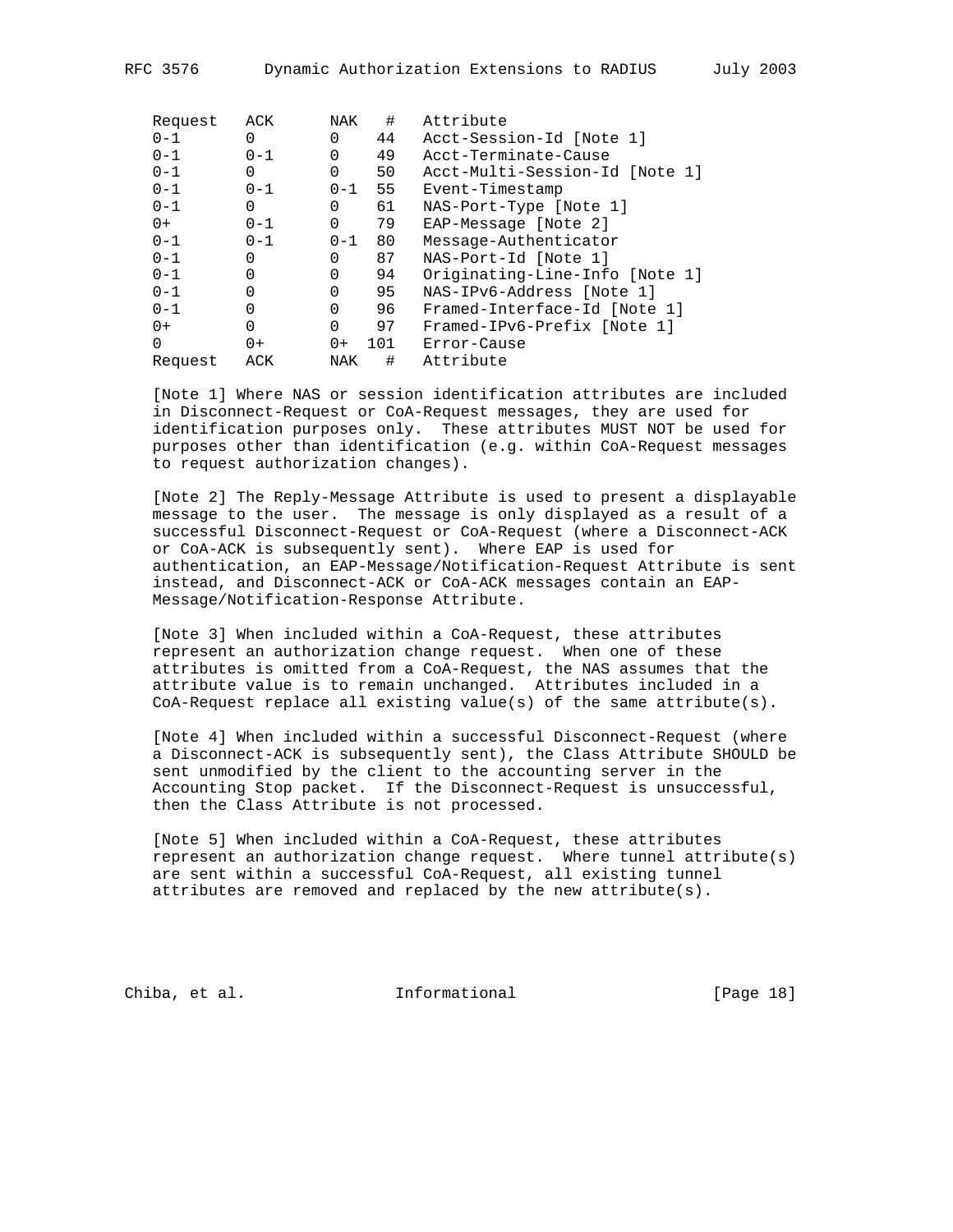| Request | ACK      | NAK      | #   | Attribute                      |
|---------|----------|----------|-----|--------------------------------|
| $0 - 1$ | 0        | 0        | 44  | Acct-Session-Id [Note 1]       |
| $0 - 1$ | $0 - 1$  | $\Omega$ | 49  | Acct-Terminate-Cause           |
| $0 - 1$ | 0        | $\Omega$ | 50  | Acct-Multi-Session-Id [Note 1] |
| $0 - 1$ | $0 - 1$  | $0 - 1$  | 55  | Event-Timestamp                |
| $0 - 1$ | $\Omega$ | $\Omega$ | 61  | NAS-Port-Type [Note 1]         |
| $0+$    | $0 - 1$  | $\Omega$ | 79  | EAP-Message [Note 2]           |
| $0 - 1$ | $0 - 1$  | $0 - 1$  | 80  | Message-Authenticator          |
| $0 - 1$ | $\Omega$ | 0        | 87  | NAS-Port-Id [Note 1]           |
| $0 - 1$ |          | $\Omega$ | 94  | Originating-Line-Info [Note 1] |
| $0 - 1$ | $\Omega$ | $\Omega$ | 95  | NAS-IPv6-Address [Note 1]      |
| $0 - 1$ |          | $\Omega$ | 96  | Framed-Interface-Id [Note 1]   |
| $0+$    | $\Omega$ | $\Omega$ | 97  | Framed-IPv6-Prefix [Note 1]    |
| 0       | $0+$     | $0+$     | 101 | Error-Cause                    |
| Request | ACK      | NAK      | #   | Attribute                      |

 [Note 1] Where NAS or session identification attributes are included in Disconnect-Request or CoA-Request messages, they are used for identification purposes only. These attributes MUST NOT be used for purposes other than identification (e.g. within CoA-Request messages to request authorization changes).

 [Note 2] The Reply-Message Attribute is used to present a displayable message to the user. The message is only displayed as a result of a successful Disconnect-Request or CoA-Request (where a Disconnect-ACK or CoA-ACK is subsequently sent). Where EAP is used for authentication, an EAP-Message/Notification-Request Attribute is sent instead, and Disconnect-ACK or CoA-ACK messages contain an EAP- Message/Notification-Response Attribute.

 [Note 3] When included within a CoA-Request, these attributes represent an authorization change request. When one of these attributes is omitted from a CoA-Request, the NAS assumes that the attribute value is to remain unchanged. Attributes included in a CoA-Request replace all existing value(s) of the same attribute(s).

 [Note 4] When included within a successful Disconnect-Request (where a Disconnect-ACK is subsequently sent), the Class Attribute SHOULD be sent unmodified by the client to the accounting server in the Accounting Stop packet. If the Disconnect-Request is unsuccessful, then the Class Attribute is not processed.

 [Note 5] When included within a CoA-Request, these attributes represent an authorization change request. Where tunnel attribute(s) are sent within a successful CoA-Request, all existing tunnel attributes are removed and replaced by the new attribute(s).

Chiba, et al. **Informational** [Page 18]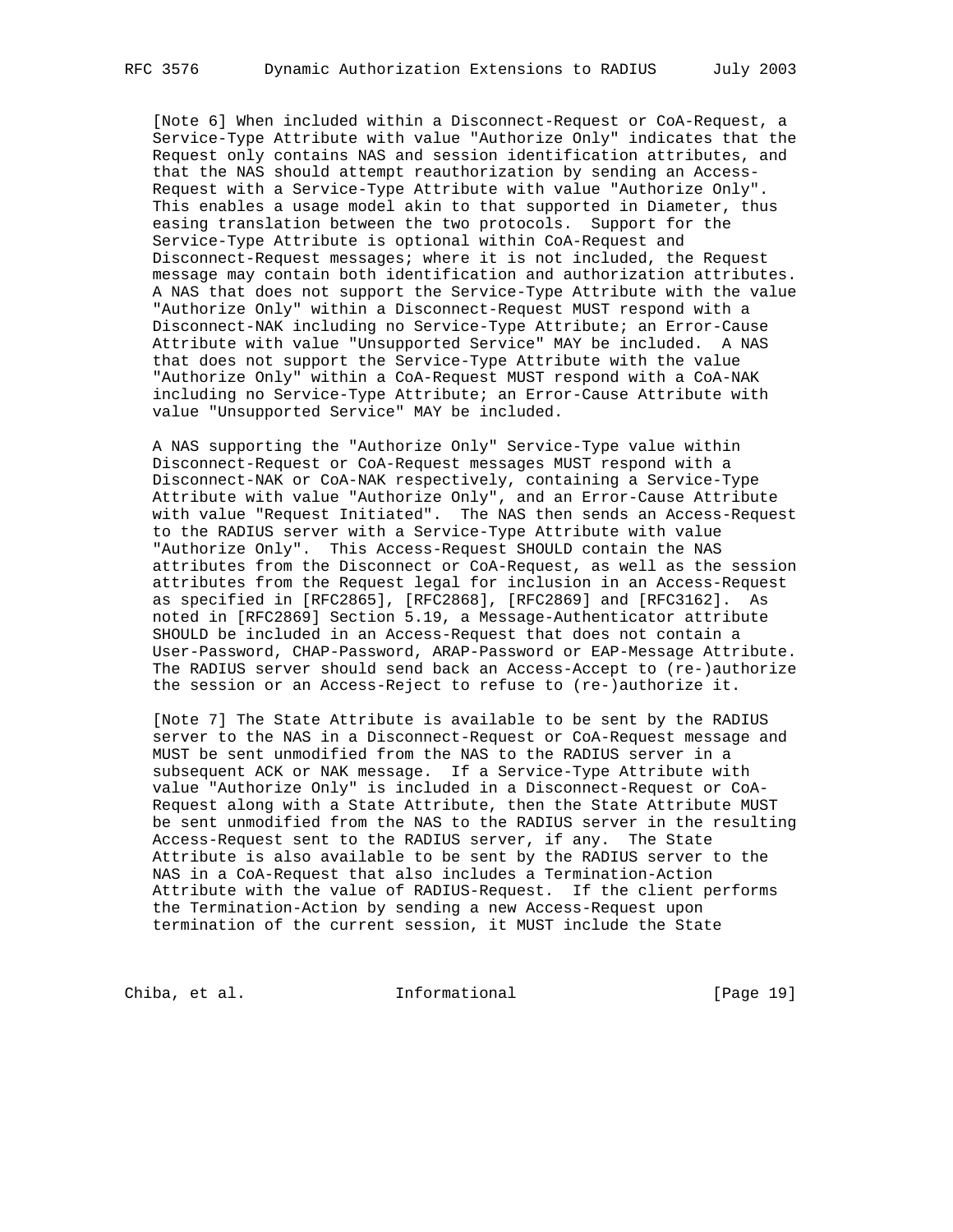[Note 6] When included within a Disconnect-Request or CoA-Request, a Service-Type Attribute with value "Authorize Only" indicates that the Request only contains NAS and session identification attributes, and that the NAS should attempt reauthorization by sending an Access- Request with a Service-Type Attribute with value "Authorize Only". This enables a usage model akin to that supported in Diameter, thus easing translation between the two protocols. Support for the Service-Type Attribute is optional within CoA-Request and Disconnect-Request messages; where it is not included, the Request message may contain both identification and authorization attributes. A NAS that does not support the Service-Type Attribute with the value "Authorize Only" within a Disconnect-Request MUST respond with a Disconnect-NAK including no Service-Type Attribute; an Error-Cause Attribute with value "Unsupported Service" MAY be included. A NAS that does not support the Service-Type Attribute with the value "Authorize Only" within a CoA-Request MUST respond with a CoA-NAK including no Service-Type Attribute; an Error-Cause Attribute with value "Unsupported Service" MAY be included.

 A NAS supporting the "Authorize Only" Service-Type value within Disconnect-Request or CoA-Request messages MUST respond with a Disconnect-NAK or CoA-NAK respectively, containing a Service-Type Attribute with value "Authorize Only", and an Error-Cause Attribute with value "Request Initiated". The NAS then sends an Access-Request to the RADIUS server with a Service-Type Attribute with value "Authorize Only". This Access-Request SHOULD contain the NAS attributes from the Disconnect or CoA-Request, as well as the session attributes from the Request legal for inclusion in an Access-Request as specified in [RFC2865], [RFC2868], [RFC2869] and [RFC3162]. As noted in [RFC2869] Section 5.19, a Message-Authenticator attribute SHOULD be included in an Access-Request that does not contain a User-Password, CHAP-Password, ARAP-Password or EAP-Message Attribute. The RADIUS server should send back an Access-Accept to (re-)authorize the session or an Access-Reject to refuse to (re-)authorize it.

 [Note 7] The State Attribute is available to be sent by the RADIUS server to the NAS in a Disconnect-Request or CoA-Request message and MUST be sent unmodified from the NAS to the RADIUS server in a subsequent ACK or NAK message. If a Service-Type Attribute with value "Authorize Only" is included in a Disconnect-Request or CoA- Request along with a State Attribute, then the State Attribute MUST be sent unmodified from the NAS to the RADIUS server in the resulting Access-Request sent to the RADIUS server, if any. The State Attribute is also available to be sent by the RADIUS server to the NAS in a CoA-Request that also includes a Termination-Action Attribute with the value of RADIUS-Request. If the client performs the Termination-Action by sending a new Access-Request upon termination of the current session, it MUST include the State

Chiba, et al. 1nformational [Page 19]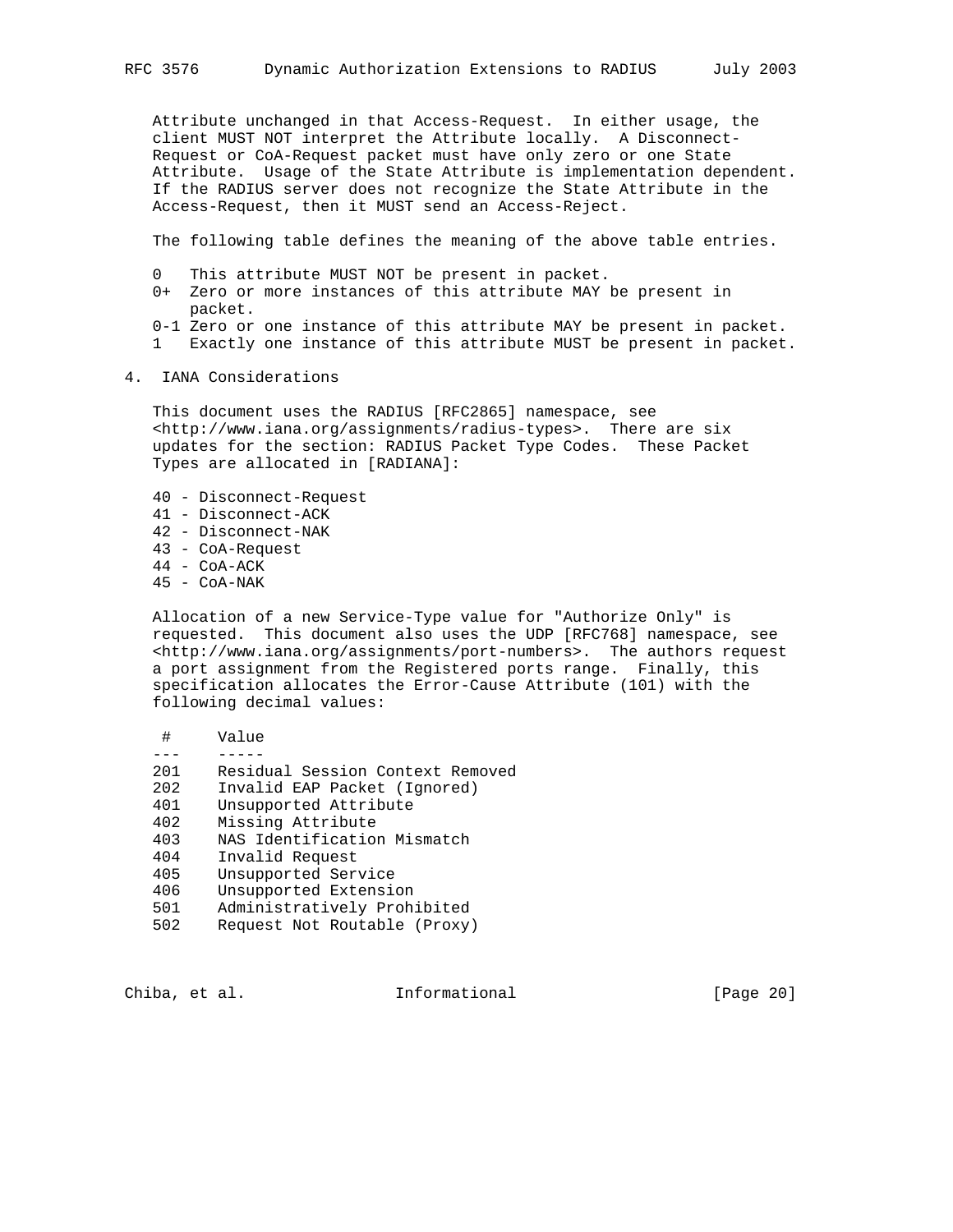Attribute unchanged in that Access-Request. In either usage, the client MUST NOT interpret the Attribute locally. A Disconnect- Request or CoA-Request packet must have only zero or one State Attribute. Usage of the State Attribute is implementation dependent. If the RADIUS server does not recognize the State Attribute in the Access-Request, then it MUST send an Access-Reject.

The following table defines the meaning of the above table entries.

- 0 This attribute MUST NOT be present in packet.
- 0+ Zero or more instances of this attribute MAY be present in packet.
- 0-1 Zero or one instance of this attribute MAY be present in packet.
- 1 Exactly one instance of this attribute MUST be present in packet.
- 4. IANA Considerations

 This document uses the RADIUS [RFC2865] namespace, see <http://www.iana.org/assignments/radius-types>. There are six updates for the section: RADIUS Packet Type Codes. These Packet Types are allocated in [RADIANA]:

- 40 Disconnect-Request
- 41 Disconnect-ACK
- 42 Disconnect-NAK
- 43 CoA-Request
- 44 CoA-ACK
- 45 CoA-NAK

 Allocation of a new Service-Type value for "Authorize Only" is requested. This document also uses the UDP [RFC768] namespace, see <http://www.iana.org/assignments/port-numbers>. The authors request a port assignment from the Registered ports range. Finally, this specification allocates the Error-Cause Attribute (101) with the following decimal values:

| #    | Value                            |
|------|----------------------------------|
|      |                                  |
| 2.01 | Residual Session Context Removed |
| 202  | Invalid EAP Packet (Ignored)     |
| 401  | Unsupported Attribute            |
| 402  | Missing Attribute                |
| 403  | NAS Identification Mismatch      |
| 404  | Invalid Request                  |
| 405  | Unsupported Service              |
| 406  | Unsupported Extension            |
| 501  | Administratively Prohibited      |
| 502  | Request Not Routable (Proxy)     |
|      |                                  |

Chiba, et al. 1nformational [Page 20]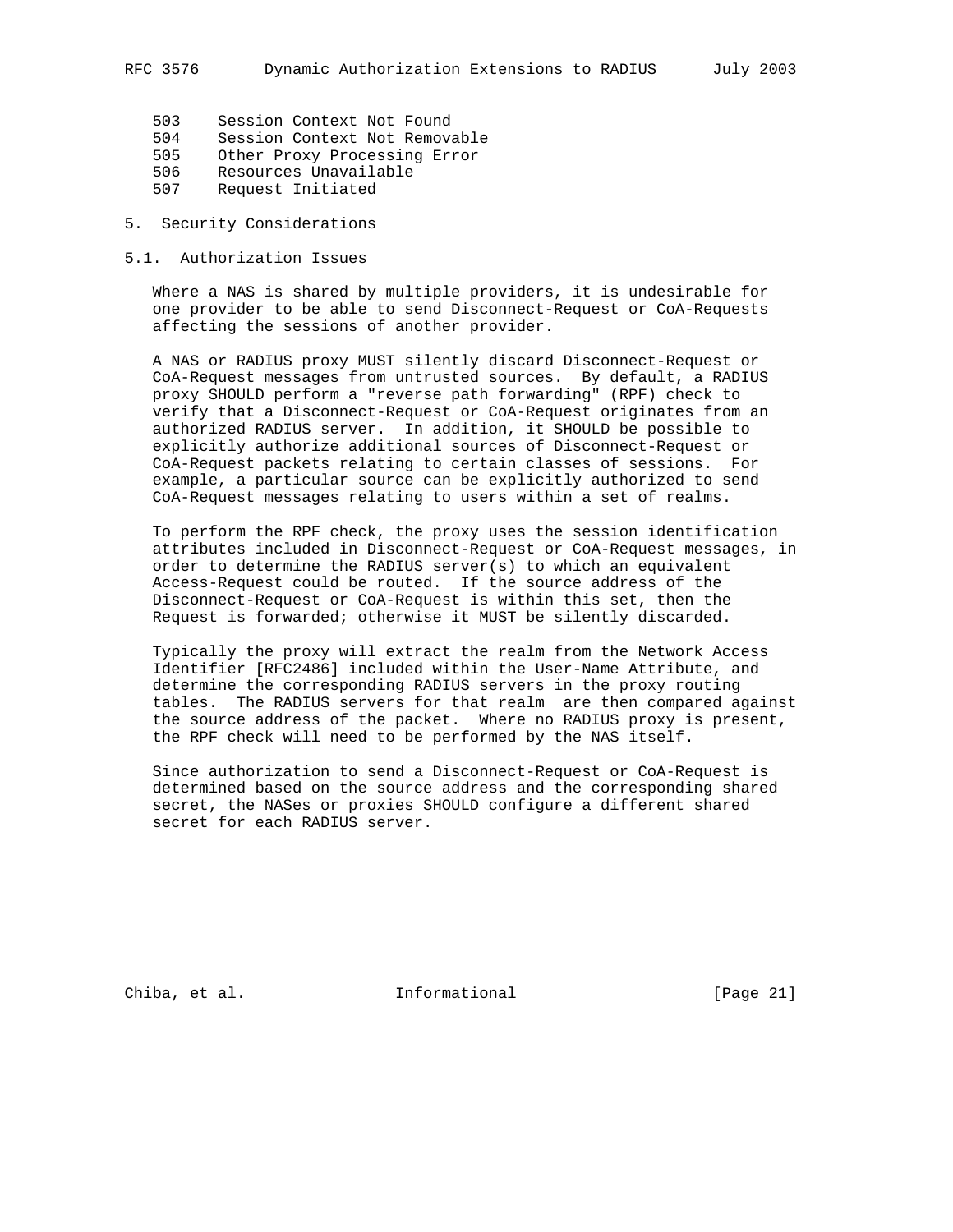- 503 Session Context Not Found
- 504 Session Context Not Removable
- 505 Other Proxy Processing Error
- 506 Resources Unavailable
- 507 Request Initiated
- 5. Security Considerations
- 5.1. Authorization Issues

 Where a NAS is shared by multiple providers, it is undesirable for one provider to be able to send Disconnect-Request or CoA-Requests affecting the sessions of another provider.

 A NAS or RADIUS proxy MUST silently discard Disconnect-Request or CoA-Request messages from untrusted sources. By default, a RADIUS proxy SHOULD perform a "reverse path forwarding" (RPF) check to verify that a Disconnect-Request or CoA-Request originates from an authorized RADIUS server. In addition, it SHOULD be possible to explicitly authorize additional sources of Disconnect-Request or CoA-Request packets relating to certain classes of sessions. For example, a particular source can be explicitly authorized to send CoA-Request messages relating to users within a set of realms.

 To perform the RPF check, the proxy uses the session identification attributes included in Disconnect-Request or CoA-Request messages, in order to determine the RADIUS server(s) to which an equivalent Access-Request could be routed. If the source address of the Disconnect-Request or CoA-Request is within this set, then the Request is forwarded; otherwise it MUST be silently discarded.

 Typically the proxy will extract the realm from the Network Access Identifier [RFC2486] included within the User-Name Attribute, and determine the corresponding RADIUS servers in the proxy routing tables. The RADIUS servers for that realm are then compared against the source address of the packet. Where no RADIUS proxy is present, the RPF check will need to be performed by the NAS itself.

 Since authorization to send a Disconnect-Request or CoA-Request is determined based on the source address and the corresponding shared secret, the NASes or proxies SHOULD configure a different shared secret for each RADIUS server.

Chiba, et al. 1nformational [Page 21]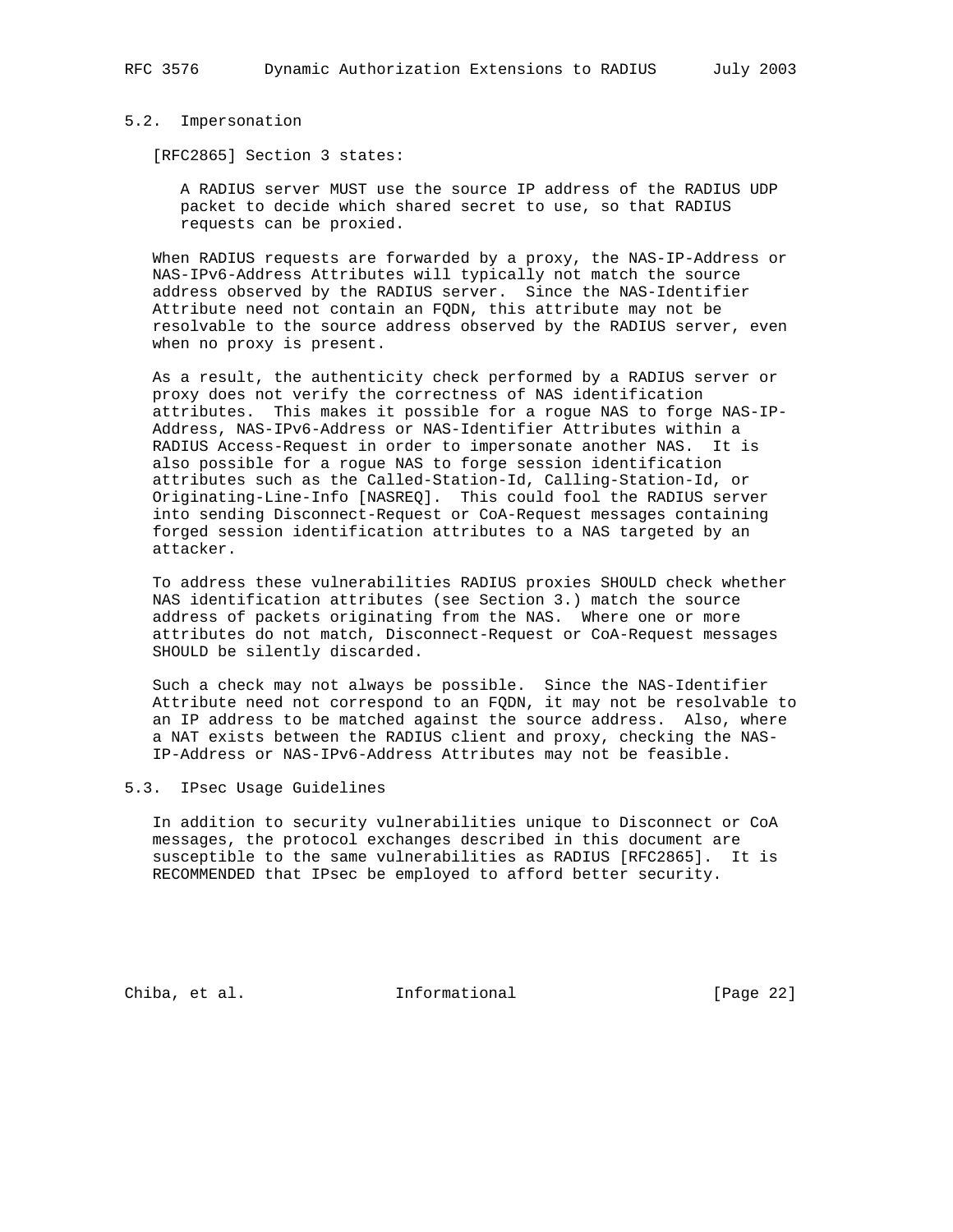#### 5.2. Impersonation

[RFC2865] Section 3 states:

 A RADIUS server MUST use the source IP address of the RADIUS UDP packet to decide which shared secret to use, so that RADIUS requests can be proxied.

 When RADIUS requests are forwarded by a proxy, the NAS-IP-Address or NAS-IPv6-Address Attributes will typically not match the source address observed by the RADIUS server. Since the NAS-Identifier Attribute need not contain an FQDN, this attribute may not be resolvable to the source address observed by the RADIUS server, even when no proxy is present.

 As a result, the authenticity check performed by a RADIUS server or proxy does not verify the correctness of NAS identification attributes. This makes it possible for a rogue NAS to forge NAS-IP- Address, NAS-IPv6-Address or NAS-Identifier Attributes within a RADIUS Access-Request in order to impersonate another NAS. It is also possible for a rogue NAS to forge session identification attributes such as the Called-Station-Id, Calling-Station-Id, or Originating-Line-Info [NASREQ]. This could fool the RADIUS server into sending Disconnect-Request or CoA-Request messages containing forged session identification attributes to a NAS targeted by an attacker.

 To address these vulnerabilities RADIUS proxies SHOULD check whether NAS identification attributes (see Section 3.) match the source address of packets originating from the NAS. Where one or more attributes do not match, Disconnect-Request or CoA-Request messages SHOULD be silently discarded.

 Such a check may not always be possible. Since the NAS-Identifier Attribute need not correspond to an FQDN, it may not be resolvable to an IP address to be matched against the source address. Also, where a NAT exists between the RADIUS client and proxy, checking the NAS- IP-Address or NAS-IPv6-Address Attributes may not be feasible.

### 5.3. IPsec Usage Guidelines

 In addition to security vulnerabilities unique to Disconnect or CoA messages, the protocol exchanges described in this document are susceptible to the same vulnerabilities as RADIUS [RFC2865]. It is RECOMMENDED that IPsec be employed to afford better security.

Chiba, et al. Informational [Page 22]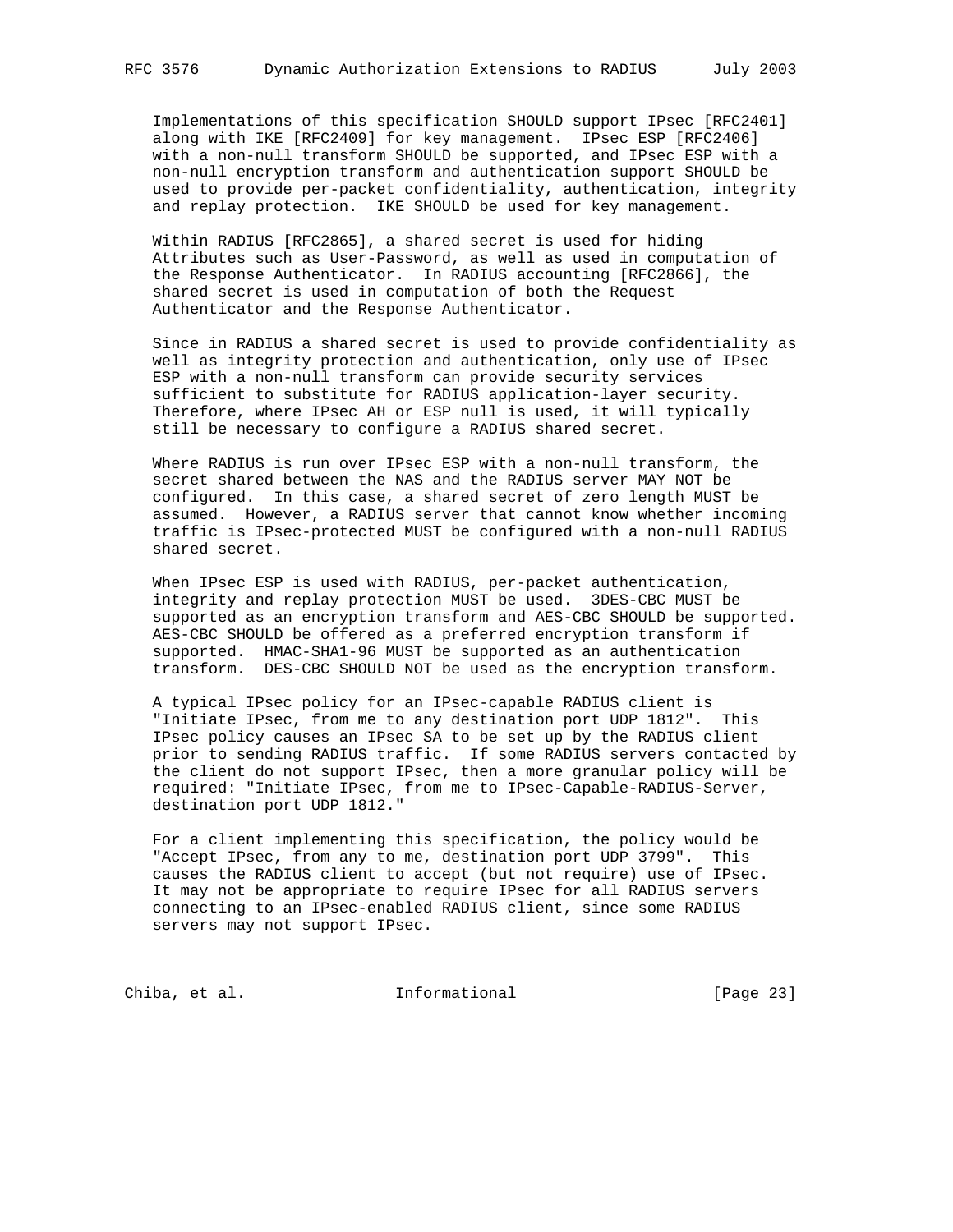Implementations of this specification SHOULD support IPsec [RFC2401] along with IKE [RFC2409] for key management. IPsec ESP [RFC2406] with a non-null transform SHOULD be supported, and IPsec ESP with a non-null encryption transform and authentication support SHOULD be used to provide per-packet confidentiality, authentication, integrity and replay protection. IKE SHOULD be used for key management.

 Within RADIUS [RFC2865], a shared secret is used for hiding Attributes such as User-Password, as well as used in computation of the Response Authenticator. In RADIUS accounting [RFC2866], the shared secret is used in computation of both the Request Authenticator and the Response Authenticator.

 Since in RADIUS a shared secret is used to provide confidentiality as well as integrity protection and authentication, only use of IPsec ESP with a non-null transform can provide security services sufficient to substitute for RADIUS application-layer security. Therefore, where IPsec AH or ESP null is used, it will typically still be necessary to configure a RADIUS shared secret.

 Where RADIUS is run over IPsec ESP with a non-null transform, the secret shared between the NAS and the RADIUS server MAY NOT be configured. In this case, a shared secret of zero length MUST be assumed. However, a RADIUS server that cannot know whether incoming traffic is IPsec-protected MUST be configured with a non-null RADIUS shared secret.

 When IPsec ESP is used with RADIUS, per-packet authentication, integrity and replay protection MUST be used. 3DES-CBC MUST be supported as an encryption transform and AES-CBC SHOULD be supported. AES-CBC SHOULD be offered as a preferred encryption transform if supported. HMAC-SHA1-96 MUST be supported as an authentication transform. DES-CBC SHOULD NOT be used as the encryption transform.

 A typical IPsec policy for an IPsec-capable RADIUS client is "Initiate IPsec, from me to any destination port UDP 1812". This IPsec policy causes an IPsec SA to be set up by the RADIUS client prior to sending RADIUS traffic. If some RADIUS servers contacted by the client do not support IPsec, then a more granular policy will be required: "Initiate IPsec, from me to IPsec-Capable-RADIUS-Server, destination port UDP 1812."

 For a client implementing this specification, the policy would be "Accept IPsec, from any to me, destination port UDP 3799". This causes the RADIUS client to accept (but not require) use of IPsec. It may not be appropriate to require IPsec for all RADIUS servers connecting to an IPsec-enabled RADIUS client, since some RADIUS servers may not support IPsec.

Chiba, et al. 1nformational [Page 23]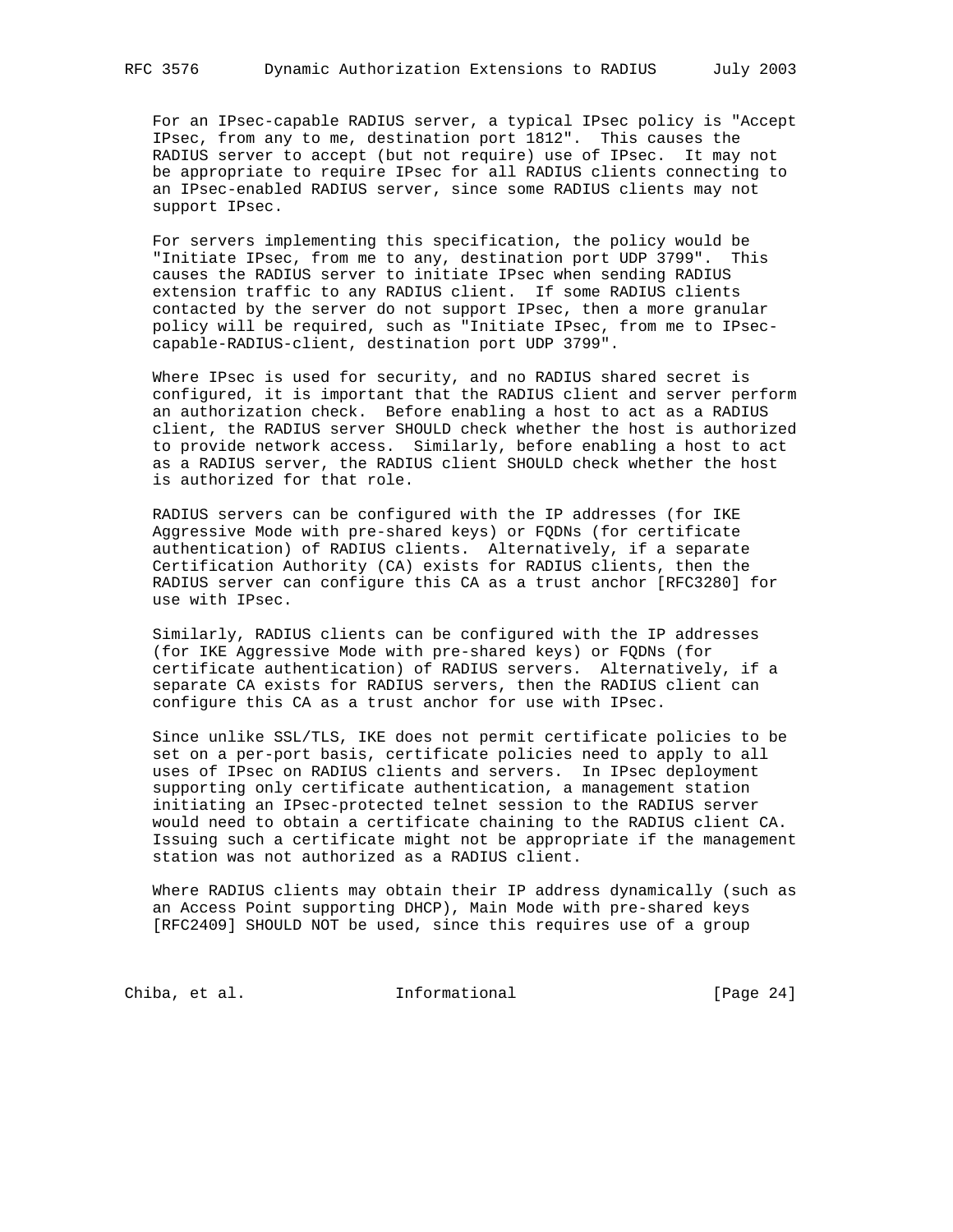For an IPsec-capable RADIUS server, a typical IPsec policy is "Accept IPsec, from any to me, destination port 1812". This causes the RADIUS server to accept (but not require) use of IPsec. It may not be appropriate to require IPsec for all RADIUS clients connecting to an IPsec-enabled RADIUS server, since some RADIUS clients may not support IPsec.

 For servers implementing this specification, the policy would be "Initiate IPsec, from me to any, destination port UDP 3799". This causes the RADIUS server to initiate IPsec when sending RADIUS extension traffic to any RADIUS client. If some RADIUS clients contacted by the server do not support IPsec, then a more granular policy will be required, such as "Initiate IPsec, from me to IPsec capable-RADIUS-client, destination port UDP 3799".

 Where IPsec is used for security, and no RADIUS shared secret is configured, it is important that the RADIUS client and server perform an authorization check. Before enabling a host to act as a RADIUS client, the RADIUS server SHOULD check whether the host is authorized to provide network access. Similarly, before enabling a host to act as a RADIUS server, the RADIUS client SHOULD check whether the host is authorized for that role.

 RADIUS servers can be configured with the IP addresses (for IKE Aggressive Mode with pre-shared keys) or FQDNs (for certificate authentication) of RADIUS clients. Alternatively, if a separate Certification Authority (CA) exists for RADIUS clients, then the RADIUS server can configure this CA as a trust anchor [RFC3280] for use with IPsec.

 Similarly, RADIUS clients can be configured with the IP addresses (for IKE Aggressive Mode with pre-shared keys) or FQDNs (for certificate authentication) of RADIUS servers. Alternatively, if a separate CA exists for RADIUS servers, then the RADIUS client can configure this CA as a trust anchor for use with IPsec.

 Since unlike SSL/TLS, IKE does not permit certificate policies to be set on a per-port basis, certificate policies need to apply to all uses of IPsec on RADIUS clients and servers. In IPsec deployment supporting only certificate authentication, a management station initiating an IPsec-protected telnet session to the RADIUS server would need to obtain a certificate chaining to the RADIUS client CA. Issuing such a certificate might not be appropriate if the management station was not authorized as a RADIUS client.

 Where RADIUS clients may obtain their IP address dynamically (such as an Access Point supporting DHCP), Main Mode with pre-shared keys [RFC2409] SHOULD NOT be used, since this requires use of a group

Chiba, et al. 1nformational [Page 24]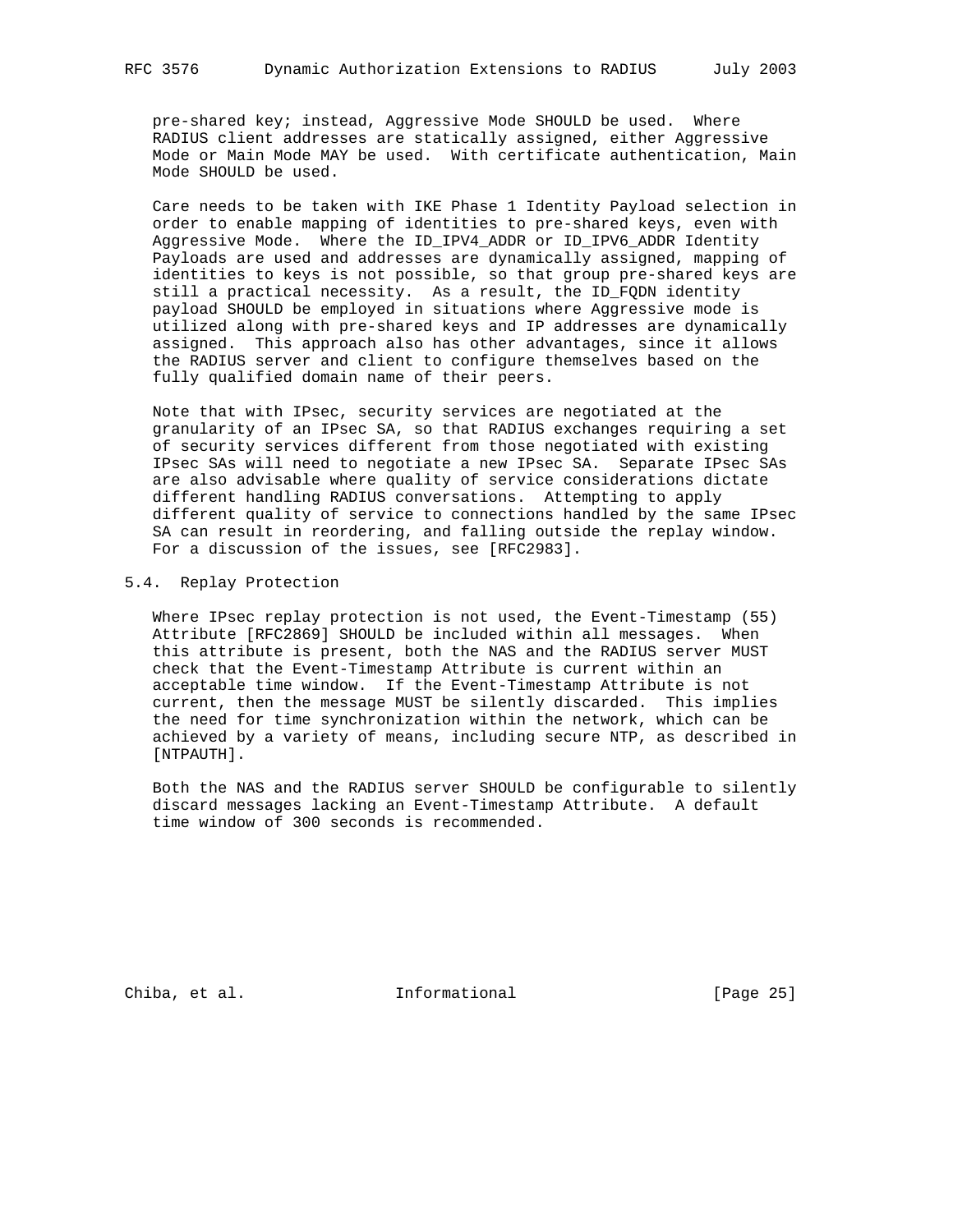pre-shared key; instead, Aggressive Mode SHOULD be used. Where RADIUS client addresses are statically assigned, either Aggressive Mode or Main Mode MAY be used. With certificate authentication, Main Mode SHOULD be used.

 Care needs to be taken with IKE Phase 1 Identity Payload selection in order to enable mapping of identities to pre-shared keys, even with Aggressive Mode. Where the ID\_IPV4\_ADDR or ID\_IPV6\_ADDR Identity Payloads are used and addresses are dynamically assigned, mapping of identities to keys is not possible, so that group pre-shared keys are still a practical necessity. As a result, the ID\_FQDN identity payload SHOULD be employed in situations where Aggressive mode is utilized along with pre-shared keys and IP addresses are dynamically assigned. This approach also has other advantages, since it allows the RADIUS server and client to configure themselves based on the fully qualified domain name of their peers.

 Note that with IPsec, security services are negotiated at the granularity of an IPsec SA, so that RADIUS exchanges requiring a set of security services different from those negotiated with existing IPsec SAs will need to negotiate a new IPsec SA. Separate IPsec SAs are also advisable where quality of service considerations dictate different handling RADIUS conversations. Attempting to apply different quality of service to connections handled by the same IPsec SA can result in reordering, and falling outside the replay window. For a discussion of the issues, see [RFC2983].

#### 5.4. Replay Protection

 Where IPsec replay protection is not used, the Event-Timestamp (55) Attribute [RFC2869] SHOULD be included within all messages. When this attribute is present, both the NAS and the RADIUS server MUST check that the Event-Timestamp Attribute is current within an acceptable time window. If the Event-Timestamp Attribute is not current, then the message MUST be silently discarded. This implies the need for time synchronization within the network, which can be achieved by a variety of means, including secure NTP, as described in [NTPAUTH].

 Both the NAS and the RADIUS server SHOULD be configurable to silently discard messages lacking an Event-Timestamp Attribute. A default time window of 300 seconds is recommended.

Chiba, et al. 1nformational [Page 25]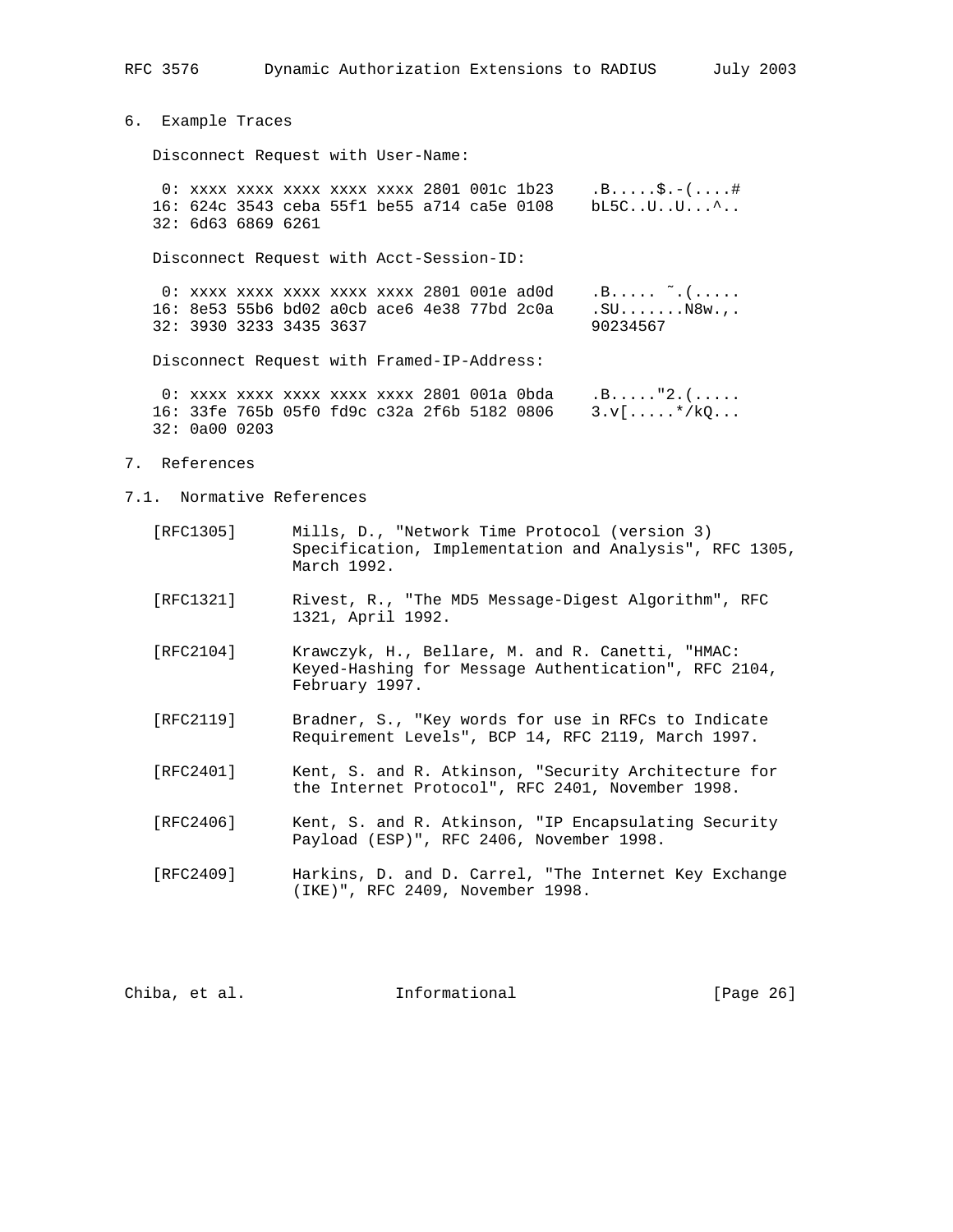RFC 3576 Dynamic Authorization Extensions to RADIUS July 2003

6. Example Traces

Disconnect Request with User-Name:

 0: xxxx xxxx xxxx xxxx xxxx 2801 001c 1b23 .B.....\$.-(....# 16: 624c 3543 ceba 55f1 be55 a714 ca5e 0108 bL5C..U..U...^.. 32: 6d63 6869 6261

Disconnect Request with Acct-Session-ID:

0: xxxx xxxx xxxx xxxx 2801 001e ad0d  $\ldots$  .....  $\tilde{a}$ ..... 16: 8e53 55b6 bd02 a0cb ace6 4e38 77bd 2c0a .SU.......N8w.,. 32: 3930 3233 3435 3637 90234567

Disconnect Request with Framed-IP-Address:

 0: xxxx xxxx xxxx xxxx xxxx 2801 001a 0bda .B....."2.(..... 16: 33fe 765b 05f0 fd9c c32a 2f6b 5182 0806 3.v[.....\*/kQ... 32: 0a00 0203

- 7. References
- 7.1. Normative References
	- [RFC1305] Mills, D., "Network Time Protocol (version 3) Specification, Implementation and Analysis", RFC 1305, March 1992.
	- [RFC1321] Rivest, R., "The MD5 Message-Digest Algorithm", RFC 1321, April 1992.
	- [RFC2104] Krawczyk, H., Bellare, M. and R. Canetti, "HMAC: Keyed-Hashing for Message Authentication", RFC 2104, February 1997.
	- [RFC2119] Bradner, S., "Key words for use in RFCs to Indicate Requirement Levels", BCP 14, RFC 2119, March 1997.
	- [RFC2401] Kent, S. and R. Atkinson, "Security Architecture for the Internet Protocol", RFC 2401, November 1998.
	- [RFC2406] Kent, S. and R. Atkinson, "IP Encapsulating Security Payload (ESP)", RFC 2406, November 1998.
	- [RFC2409] Harkins, D. and D. Carrel, "The Internet Key Exchange (IKE)", RFC 2409, November 1998.

Chiba, et al. **Informational** [Page 26]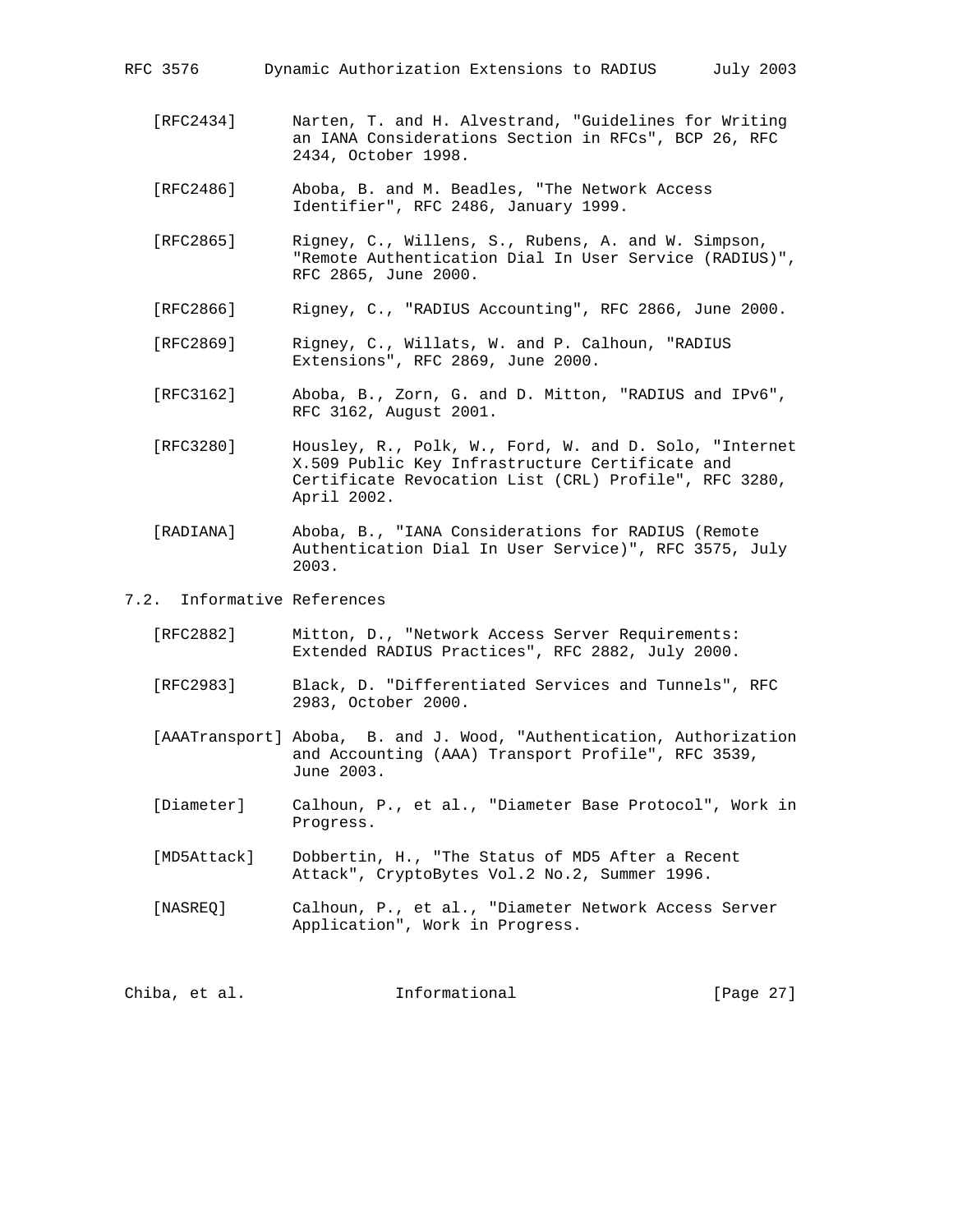an IANA Considerations Section in RFCs", BCP 26, RFC

- 2434, October 1998.
- [RFC2486] Aboba, B. and M. Beadles, "The Network Access Identifier", RFC 2486, January 1999.
- [RFC2865] Rigney, C., Willens, S., Rubens, A. and W. Simpson, "Remote Authentication Dial In User Service (RADIUS)", RFC 2865, June 2000.
- [RFC2866] Rigney, C., "RADIUS Accounting", RFC 2866, June 2000.
- [RFC2869] Rigney, C., Willats, W. and P. Calhoun, "RADIUS Extensions", RFC 2869, June 2000.
- [RFC3162] Aboba, B., Zorn, G. and D. Mitton, "RADIUS and IPv6", RFC 3162, August 2001.
- [RFC3280] Housley, R., Polk, W., Ford, W. and D. Solo, "Internet X.509 Public Key Infrastructure Certificate and Certificate Revocation List (CRL) Profile", RFC 3280, April 2002.
- [RADIANA] Aboba, B., "IANA Considerations for RADIUS (Remote Authentication Dial In User Service)", RFC 3575, July 2003.
- 7.2. Informative References
	- [RFC2882] Mitton, D., "Network Access Server Requirements: Extended RADIUS Practices", RFC 2882, July 2000.
	- [RFC2983] Black, D. "Differentiated Services and Tunnels", RFC 2983, October 2000.
	- [AAATransport] Aboba, B. and J. Wood, "Authentication, Authorization and Accounting (AAA) Transport Profile", RFC 3539, June 2003.
	- [Diameter] Calhoun, P., et al., "Diameter Base Protocol", Work in Progress.
	- [MD5Attack] Dobbertin, H., "The Status of MD5 After a Recent Attack", CryptoBytes Vol.2 No.2, Summer 1996.
	- [NASREQ] Calhoun, P., et al., "Diameter Network Access Server Application", Work in Progress.

Chiba, et al. **Informational** [Page 27]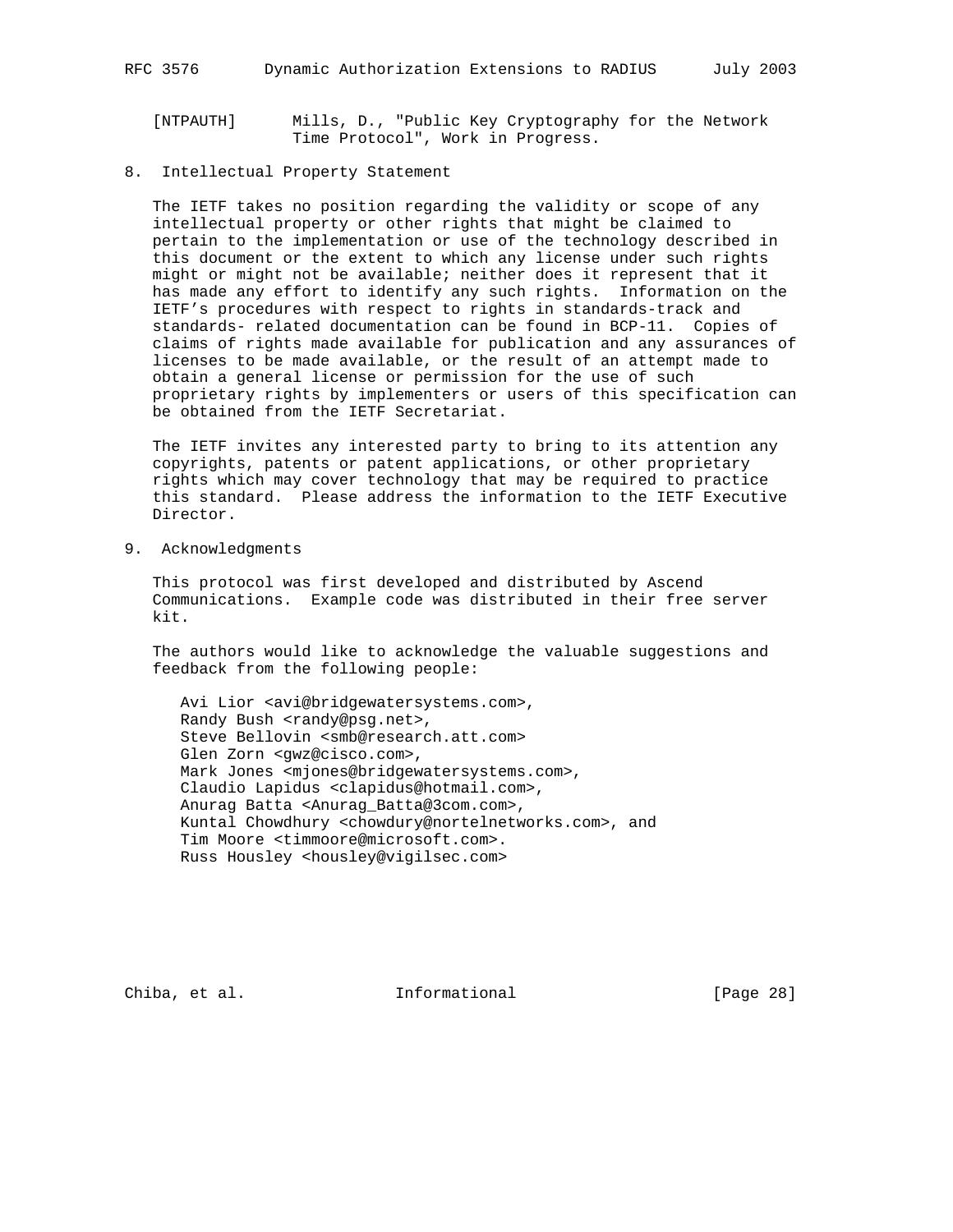- [NTPAUTH] Mills, D., "Public Key Cryptography for the Network Time Protocol", Work in Progress.
- 8. Intellectual Property Statement

 The IETF takes no position regarding the validity or scope of any intellectual property or other rights that might be claimed to pertain to the implementation or use of the technology described in this document or the extent to which any license under such rights might or might not be available; neither does it represent that it has made any effort to identify any such rights. Information on the IETF's procedures with respect to rights in standards-track and standards- related documentation can be found in BCP-11. Copies of claims of rights made available for publication and any assurances of licenses to be made available, or the result of an attempt made to obtain a general license or permission for the use of such proprietary rights by implementers or users of this specification can be obtained from the IETF Secretariat.

 The IETF invites any interested party to bring to its attention any copyrights, patents or patent applications, or other proprietary rights which may cover technology that may be required to practice this standard. Please address the information to the IETF Executive Director.

9. Acknowledgments

 This protocol was first developed and distributed by Ascend Communications. Example code was distributed in their free server kit.

 The authors would like to acknowledge the valuable suggestions and feedback from the following people:

 Avi Lior <avi@bridgewatersystems.com>, Randy Bush <randy@psg.net>, Steve Bellovin <smb@research.att.com> Glen Zorn <gwz@cisco.com>, Mark Jones <mjones@bridgewatersystems.com>, Claudio Lapidus <clapidus@hotmail.com>, Anurag Batta <Anurag\_Batta@3com.com>, Kuntal Chowdhury <chowdury@nortelnetworks.com>, and Tim Moore <timmoore@microsoft.com>. Russ Housley <housley@vigilsec.com>

Chiba, et al. **Informational** [Page 28]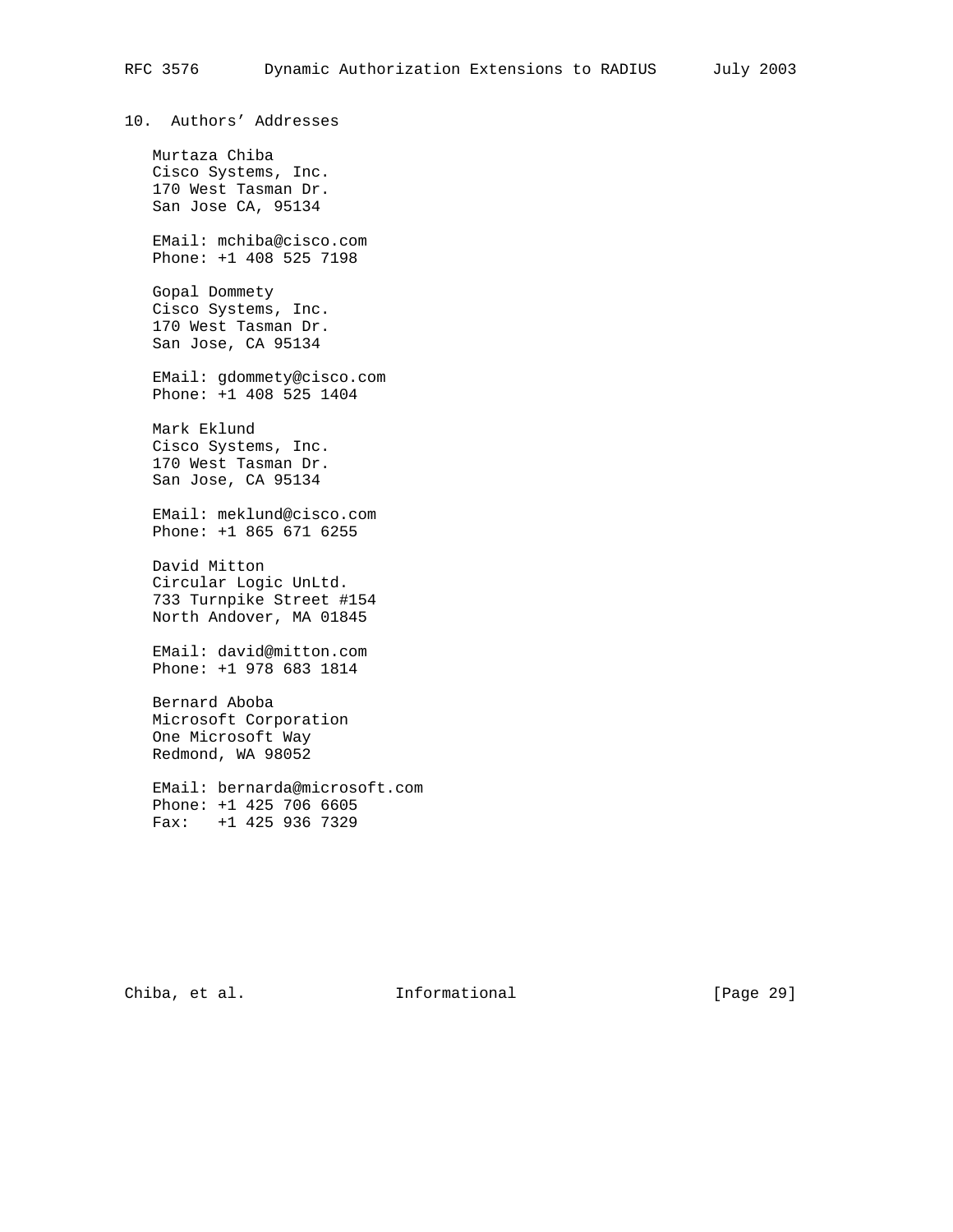10. Authors' Addresses Murtaza Chiba Cisco Systems, Inc. 170 West Tasman Dr. San Jose CA, 95134 EMail: mchiba@cisco.com Phone: +1 408 525 7198 Gopal Dommety Cisco Systems, Inc. 170 West Tasman Dr. San Jose, CA 95134 EMail: gdommety@cisco.com Phone: +1 408 525 1404 Mark Eklund Cisco Systems, Inc. 170 West Tasman Dr. San Jose, CA 95134 EMail: meklund@cisco.com Phone: +1 865 671 6255 David Mitton Circular Logic UnLtd. 733 Turnpike Street #154 North Andover, MA 01845 EMail: david@mitton.com Phone: +1 978 683 1814 Bernard Aboba Microsoft Corporation One Microsoft Way Redmond, WA 98052 EMail: bernarda@microsoft.com Phone: +1 425 706 6605 Fax: +1 425 936 7329

Chiba, et al. 1nformational [Page 29]